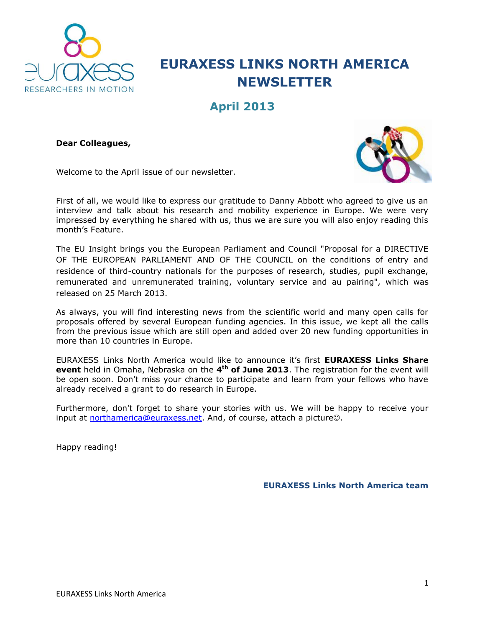

# **EURAXESS LINKS NORTH AMERICA NEWSLETTER**

# **April 2013**

**Dear Colleagues,**



Welcome to the April issue of our newsletter.

First of all, we would like to express our gratitude to Danny Abbott who agreed to give us an interview and talk about his research and mobility experience in Europe. We were very impressed by everything he shared with us, thus we are sure you will also enjoy reading this month's Feature.

The EU Insight brings you the European Parliament and Council "Proposal for a DIRECTIVE OF THE EUROPEAN PARLIAMENT AND OF THE COUNCIL on the conditions of entry and residence of third-country nationals for the purposes of research, studies, pupil exchange, remunerated and unremunerated training, voluntary service and au pairing", which was released on 25 March 2013.

As always, you will find interesting news from the scientific world and many open calls for proposals offered by several European funding agencies. In this issue, we kept all the calls from the previous issue which are still open and added over 20 new funding opportunities in more than 10 countries in Europe.

EURAXESS Links North America would like to announce it's first **EURAXESS Links Share event** held in Omaha, Nebraska on the **4 th of June 2013**. The registration for the event will be open soon. Don't miss your chance to participate and learn from your fellows who have already received a grant to do research in Europe.

Furthermore, don't forget to share your stories with us. We will be happy to receive your input at [northamerica@euraxess.net.](mailto:northamerica@euraxess.net) And, of course, attach a picture...

Happy reading!

**EURAXESS Links North America team**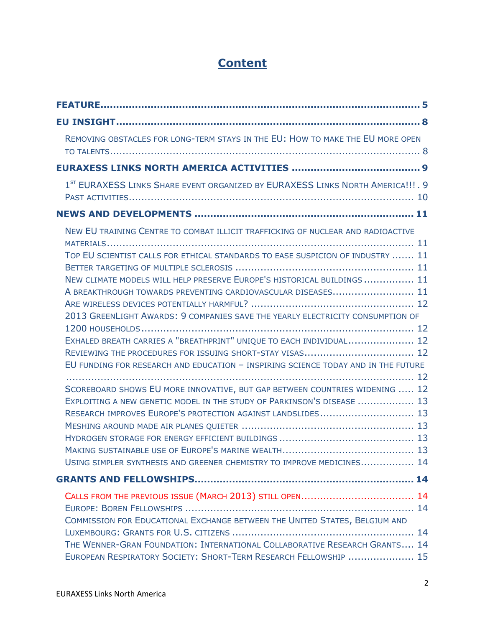# **Content**

| REMOVING OBSTACLES FOR LONG-TERM STAYS IN THE EU: HOW TO MAKE THE EU MORE OPEN                                                                                                                                                                                                                                                                                                                                                                                                                                                                                                                                                            |  |
|-------------------------------------------------------------------------------------------------------------------------------------------------------------------------------------------------------------------------------------------------------------------------------------------------------------------------------------------------------------------------------------------------------------------------------------------------------------------------------------------------------------------------------------------------------------------------------------------------------------------------------------------|--|
|                                                                                                                                                                                                                                                                                                                                                                                                                                                                                                                                                                                                                                           |  |
| 1 <sup>ST</sup> EURAXESS LINKS SHARE EVENT ORGANIZED BY EURAXESS LINKS NORTH AMERICA!!!. 9                                                                                                                                                                                                                                                                                                                                                                                                                                                                                                                                                |  |
|                                                                                                                                                                                                                                                                                                                                                                                                                                                                                                                                                                                                                                           |  |
| NEW EU TRAINING CENTRE TO COMBAT ILLICIT TRAFFICKING OF NUCLEAR AND RADIOACTIVE<br>TOP EU SCIENTIST CALLS FOR ETHICAL STANDARDS TO EASE SUSPICION OF INDUSTRY  11<br>NEW CLIMATE MODELS WILL HELP PRESERVE EUROPE'S HISTORICAL BUILDINGS  11<br>A BREAKTHROUGH TOWARDS PREVENTING CARDIOVASCULAR DISEASES 11<br>2013 GREENLIGHT AWARDS: 9 COMPANIES SAVE THE YEARLY ELECTRICITY CONSUMPTION OF<br>EXHALED BREATH CARRIES A "BREATHPRINT" UNIQUE TO EACH INDIVIDUAL 12<br>EU FUNDING FOR RESEARCH AND EDUCATION - INSPIRING SCIENCE TODAY AND IN THE FUTURE<br>SCOREBOARD SHOWS EU MORE INNOVATIVE, BUT GAP BETWEEN COUNTRIES WIDENING  12 |  |
| EXPLOITING A NEW GENETIC MODEL IN THE STUDY OF PARKINSON'S DISEASE  13<br>RESEARCH IMPROVES EUROPE'S PROTECTION AGAINST LANDSLIDES 13<br>USING SIMPLER SYNTHESIS AND GREENER CHEMISTRY TO IMPROVE MEDICINES 14                                                                                                                                                                                                                                                                                                                                                                                                                            |  |
|                                                                                                                                                                                                                                                                                                                                                                                                                                                                                                                                                                                                                                           |  |
| CALLS FROM THE PREVIOUS ISSUE (MARCH 2013) STILL OPEN 14<br>COMMISSION FOR EDUCATIONAL EXCHANGE BETWEEN THE UNITED STATES, BELGIUM AND                                                                                                                                                                                                                                                                                                                                                                                                                                                                                                    |  |
| THE WENNER-GRAN FOUNDATION: INTERNATIONAL COLLABORATIVE RESEARCH GRANTS 14<br>EUROPEAN RESPIRATORY SOCIETY: SHORT-TERM RESEARCH FELLOWSHIP  15                                                                                                                                                                                                                                                                                                                                                                                                                                                                                            |  |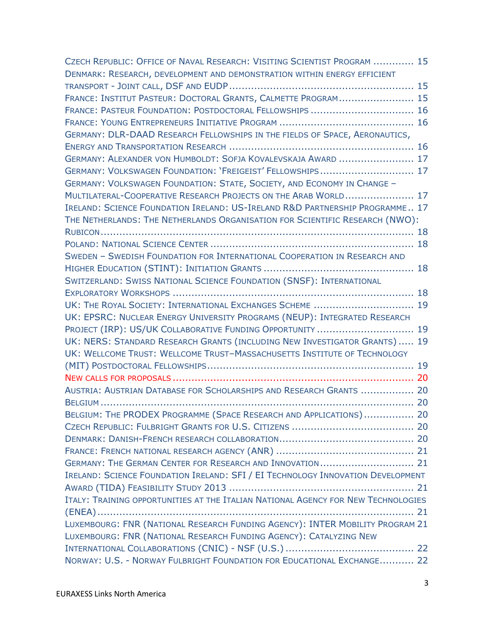| CZECH REPUBLIC: OFFICE OF NAVAL RESEARCH: VISITING SCIENTIST PROGRAM  15          |  |
|-----------------------------------------------------------------------------------|--|
| DENMARK: RESEARCH, DEVELOPMENT AND DEMONSTRATION WITHIN ENERGY EFFICIENT          |  |
|                                                                                   |  |
| FRANCE: INSTITUT PASTEUR: DOCTORAL GRANTS, CALMETTE PROGRAM 15                    |  |
| FRANCE: PASTEUR FOUNDATION: POSTDOCTORAL FELLOWSHIPS  16                          |  |
|                                                                                   |  |
| GERMANY: DLR-DAAD RESEARCH FELLOWSHIPS IN THE FIELDS OF SPACE, AERONAUTICS,       |  |
|                                                                                   |  |
| GERMANY: ALEXANDER VON HUMBOLDT: SOFJA KOVALEVSKAJA AWARD  17                     |  |
| GERMANY: VOLKSWAGEN FOUNDATION: 'FREIGEIST' FELLOWSHIPS 17                        |  |
| GERMANY: VOLKSWAGEN FOUNDATION: STATE, SOCIETY, AND ECONOMY IN CHANGE -           |  |
| MULTILATERAL-COOPERATIVE RESEARCH PROJECTS ON THE ARAB WORLD 17                   |  |
| IRELAND: SCIENCE FOUNDATION IRELAND: US-IRELAND R&D PARTNERSHIP PROGRAMME 17      |  |
| THE NETHERLANDS: THE NETHERLANDS ORGANISATION FOR SCIENTIFIC RESEARCH (NWO):      |  |
|                                                                                   |  |
|                                                                                   |  |
| SWEDEN - SWEDISH FOUNDATION FOR INTERNATIONAL COOPERATION IN RESEARCH AND         |  |
|                                                                                   |  |
| SWITZERLAND: SWISS NATIONAL SCIENCE FOUNDATION (SNSF): INTERNATIONAL              |  |
|                                                                                   |  |
| UK: THE ROYAL SOCIETY: INTERNATIONAL EXCHANGES SCHEME  19                         |  |
| UK: EPSRC: NUCLEAR ENERGY UNIVERSITY PROGRAMS (NEUP): INTEGRATED RESEARCH         |  |
| PROJECT (IRP): US/UK COLLABORATIVE FUNDING OPPORTUNITY  19                        |  |
| UK: NERS: STANDARD RESEARCH GRANTS (INCLUDING NEW INVESTIGATOR GRANTS) 19         |  |
| UK: WELLCOME TRUST: WELLCOME TRUST-MASSACHUSETTS INSTITUTE OF TECHNOLOGY          |  |
|                                                                                   |  |
|                                                                                   |  |
| AUSTRIA: AUSTRIAN DATABASE FOR SCHOLARSHIPS AND RESEARCH GRANTS  20               |  |
|                                                                                   |  |
| BELGIUM: THE PRODEX PROGRAMME (SPACE RESEARCH AND APPLICATIONS) 20                |  |
|                                                                                   |  |
|                                                                                   |  |
|                                                                                   |  |
| GERMANY: THE GERMAN CENTER FOR RESEARCH AND INNOVATION 21                         |  |
| IRELAND: SCIENCE FOUNDATION IRELAND: SFI / EI TECHNOLOGY INNOVATION DEVELOPMENT   |  |
|                                                                                   |  |
| ITALY: TRAINING OPPORTUNITIES AT THE ITALIAN NATIONAL AGENCY FOR NEW TECHNOLOGIES |  |
|                                                                                   |  |
| LUXEMBOURG: FNR (NATIONAL RESEARCH FUNDING AGENCY): INTER MOBILITY PROGRAM 21     |  |
| LUXEMBOURG: FNR (NATIONAL RESEARCH FUNDING AGENCY): CATALYZING NEW                |  |
|                                                                                   |  |
| NORWAY: U.S. - NORWAY FULBRIGHT FOUNDATION FOR EDUCATIONAL EXCHANGE 22            |  |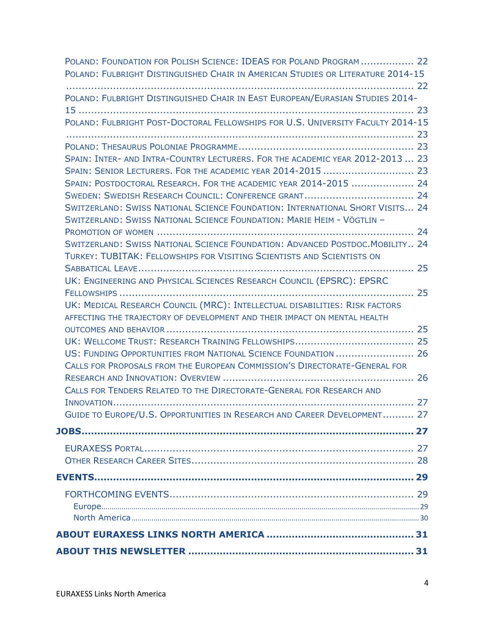| POLAND: FOUNDATION FOR POLISH SCIENCE: IDEAS FOR POLAND PROGRAM  22<br>POLAND: FULBRIGHT DISTINGUISHED CHAIR IN AMERICAN STUDIES OR LITERATURE 2014-15         |  |
|----------------------------------------------------------------------------------------------------------------------------------------------------------------|--|
|                                                                                                                                                                |  |
| POLAND: FULBRIGHT DISTINGUISHED CHAIR IN EAST EUROPEAN/EURASIAN STUDIES 2014-                                                                                  |  |
| POLAND: FULBRIGHT POST-DOCTORAL FELLOWSHIPS FOR U.S. UNIVERSITY FACULTY 2014-15                                                                                |  |
|                                                                                                                                                                |  |
| SPAIN: INTER- AND INTRA-COUNTRY LECTURERS. FOR THE ACADEMIC YEAR 2012-2013  23<br>SPAIN: SENIOR LECTURERS. FOR THE ACADEMIC YEAR 2014-2015  23                 |  |
| SPAIN: POSTDOCTORAL RESEARCH. FOR THE ACADEMIC YEAR 2014-2015  24                                                                                              |  |
| SWEDEN: SWEDISH RESEARCH COUNCIL: CONFERENCE GRANT 24                                                                                                          |  |
| SWITZERLAND: SWISS NATIONAL SCIENCE FOUNDATION: INTERNATIONAL SHORT VISITS 24<br><b>SWITZERLAND: SWISS NATIONAL SCIENCE FOUNDATION: MARIE HEIM - VÖGTLIN -</b> |  |
|                                                                                                                                                                |  |
| SWITZERLAND: SWISS NATIONAL SCIENCE FOUNDATION: ADVANCED POSTDOC. MOBILITY 24<br>TURKEY: TUBITAK: FELLOWSHIPS FOR VISITING SCIENTISTS AND SCIENTISTS ON        |  |
| UK: ENGINEERING AND PHYSICAL SCIENCES RESEARCH COUNCIL (EPSRC): EPSRC                                                                                          |  |
| UK: MEDICAL RESEARCH COUNCIL (MRC): INTELLECTUAL DISABILITIES: RISK FACTORS<br>AFFECTING THE TRAJECTORY OF DEVELOPMENT AND THEIR IMPACT ON MENTAL HEALTH       |  |
|                                                                                                                                                                |  |
|                                                                                                                                                                |  |
| US: FUNDING OPPORTUNITIES FROM NATIONAL SCIENCE FOUNDATION  26<br>CALLS FOR PROPOSALS FROM THE EUROPEAN COMMISSION'S DIRECTORATE-GENERAL FOR                   |  |
| CALLS FOR TENDERS RELATED TO THE DIRECTORATE-GENERAL FOR RESEARCH AND                                                                                          |  |
|                                                                                                                                                                |  |
| GUIDE TO EUROPE/U.S. OPPORTUNITIES IN RESEARCH AND CAREER DEVELOPMENT 27                                                                                       |  |
|                                                                                                                                                                |  |
|                                                                                                                                                                |  |
|                                                                                                                                                                |  |
|                                                                                                                                                                |  |
|                                                                                                                                                                |  |
|                                                                                                                                                                |  |
|                                                                                                                                                                |  |
|                                                                                                                                                                |  |
|                                                                                                                                                                |  |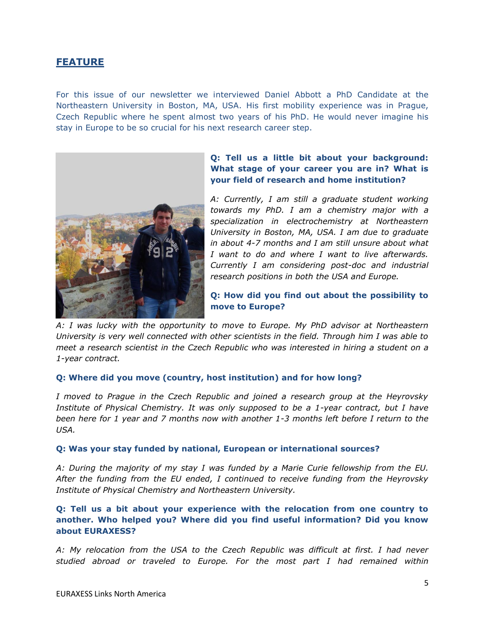# <span id="page-4-0"></span>**FEATURE**

For this issue of our newsletter we interviewed Daniel Abbott a PhD Candidate at the Northeastern University in Boston, MA, USA. His first mobility experience was in Prague, Czech Republic where he spent almost two years of his PhD. He would never imagine his stay in Europe to be so crucial for his next research career step.



# **Q: Tell us a little bit about your background: What stage of your career you are in? What is your field of research and home institution?**

*A: Currently, I am still a graduate student working towards my PhD. I am a chemistry major with a specialization in electrochemistry at Northeastern University in Boston, MA, USA. I am due to graduate in about 4-7 months and I am still unsure about what I want to do and where I want to live afterwards. Currently I am considering post-doc and industrial research positions in both the USA and Europe.*

## **Q: How did you find out about the possibility to move to Europe?**

*A: I was lucky with the opportunity to move to Europe. My PhD advisor at Northeastern University is very well connected with other scientists in the field. Through him I was able to meet a research scientist in the Czech Republic who was interested in hiring a student on a 1-year contract.* 

### **Q: Where did you move (country, host institution) and for how long?**

*I moved to Prague in the Czech Republic and joined a research group at the Heyrovsky Institute of Physical Chemistry. It was only supposed to be a 1-year contract, but I have been here for 1 year and 7 months now with another 1-3 months left before I return to the USA.*

### **Q: Was your stay funded by national, European or international sources?**

*A: During the majority of my stay I was funded by a Marie Curie fellowship from the EU. After the funding from the EU ended, I continued to receive funding from the Heyrovsky Institute of Physical Chemistry and Northeastern University.*

# **Q: Tell us a bit about your experience with the relocation from one country to another. Who helped you? Where did you find useful information? Did you know about EURAXESS?**

*A: My relocation from the USA to the Czech Republic was difficult at first. I had never studied abroad or traveled to Europe. For the most part I had remained within*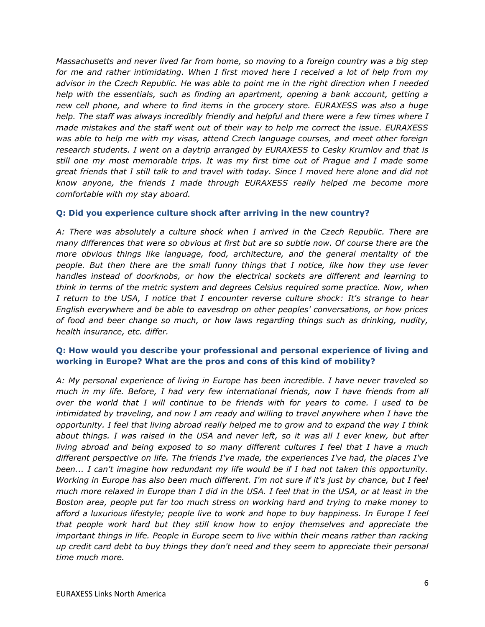*Massachusetts and never lived far from home, so moving to a foreign country was a big step for me and rather intimidating. When I first moved here I received a lot of help from my advisor in the Czech Republic. He was able to point me in the right direction when I needed help with the essentials, such as finding an apartment, opening a bank account, getting a new cell phone, and where to find items in the grocery store. EURAXESS was also a huge help. The staff was always incredibly friendly and helpful and there were a few times where I made mistakes and the staff went out of their way to help me correct the issue. EURAXESS was able to help me with my visas, attend Czech language courses, and meet other foreign research students. I went on a daytrip arranged by EURAXESS to Cesky Krumlov and that is still one my most memorable trips. It was my first time out of Prague and I made some great friends that I still talk to and travel with today. Since I moved here alone and did not know anyone, the friends I made through EURAXESS really helped me become more comfortable with my stay aboard.* 

## **Q: Did you experience culture shock after arriving in the new country?**

*A: There was absolutely a culture shock when I arrived in the Czech Republic. There are many differences that were so obvious at first but are so subtle now. Of course there are the more obvious things like language, food, architecture, and the general mentality of the people. But then there are the small funny things that I notice, like how they use lever handles instead of doorknobs, or how the electrical sockets are different and learning to think in terms of the metric system and degrees Celsius required some practice. Now, when I return to the USA, I notice that I encounter reverse culture shock: It's strange to hear English everywhere and be able to eavesdrop on other peoples' conversations, or how prices of food and beer change so much, or how laws regarding things such as drinking, nudity, health insurance, etc. differ.*

# **Q: How would you describe your professional and personal experience of living and working in Europe? What are the pros and cons of this kind of mobility?**

*A: My personal experience of living in Europe has been incredible. I have never traveled so much in my life. Before, I had very few international friends, now I have friends from all over the world that I will continue to be friends with for years to come. I used to be intimidated by traveling, and now I am ready and willing to travel anywhere when I have the opportunity. I feel that living abroad really helped me to grow and to expand the way I think about things. I was raised in the USA and never left, so it was all I ever knew, but after living abroad and being exposed to so many different cultures I feel that I have a much different perspective on life. The friends I've made, the experiences I've had, the places I've been... I can't imagine how redundant my life would be if I had not taken this opportunity. Working in Europe has also been much different. I'm not sure if it's just by chance, but I feel much more relaxed in Europe than I did in the USA. I feel that in the USA, or at least in the Boston area, people put far too much stress on working hard and trying to make money to afford a luxurious lifestyle; people live to work and hope to buy happiness. In Europe I feel that people work hard but they still know how to enjoy themselves and appreciate the important things in life. People in Europe seem to live within their means rather than racking up credit card debt to buy things they don't need and they seem to appreciate their personal time much more.*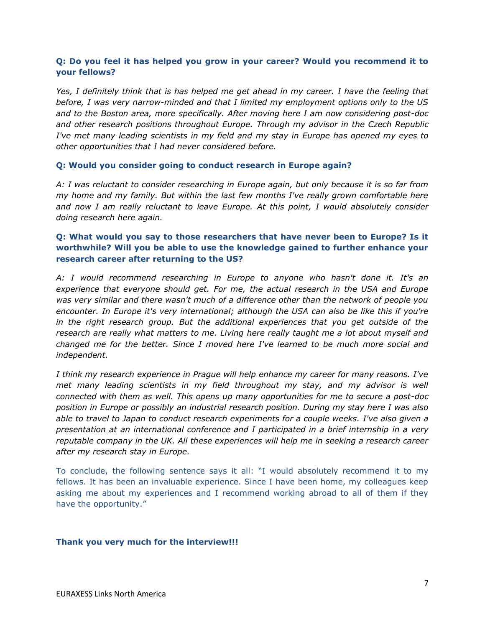# **Q: Do you feel it has helped you grow in your career? Would you recommend it to your fellows?**

*Yes, I definitely think that is has helped me get ahead in my career. I have the feeling that before, I was very narrow-minded and that I limited my employment options only to the US and to the Boston area, more specifically. After moving here I am now considering post-doc and other research positions throughout Europe. Through my advisor in the Czech Republic I've met many leading scientists in my field and my stay in Europe has opened my eyes to other opportunities that I had never considered before.*

## **Q: Would you consider going to conduct research in Europe again?**

*A: I was reluctant to consider researching in Europe again, but only because it is so far from my home and my family. But within the last few months I've really grown comfortable here and now I am really reluctant to leave Europe. At this point, I would absolutely consider doing research here again.* 

# **Q: What would you say to those researchers that have never been to Europe? Is it worthwhile? Will you be able to use the knowledge gained to further enhance your research career after returning to the US?**

*A: I would recommend researching in Europe to anyone who hasn't done it. It's an experience that everyone should get. For me, the actual research in the USA and Europe was very similar and there wasn't much of a difference other than the network of people you encounter. In Europe it's very international; although the USA can also be like this if you're in the right research group. But the additional experiences that you get outside of the research are really what matters to me. Living here really taught me a lot about myself and changed me for the better. Since I moved here I've learned to be much more social and independent.* 

*I think my research experience in Prague will help enhance my career for many reasons. I've met many leading scientists in my field throughout my stay, and my advisor is well connected with them as well. This opens up many opportunities for me to secure a post-doc position in Europe or possibly an industrial research position. During my stay here I was also able to travel to Japan to conduct research experiments for a couple weeks. I've also given a presentation at an international conference and I participated in a brief internship in a very reputable company in the UK. All these experiences will help me in seeking a research career after my research stay in Europe.*

To conclude, the following sentence says it all: "I would absolutely recommend it to my fellows. It has been an invaluable experience. Since I have been home, my colleagues keep asking me about my experiences and I recommend working abroad to all of them if they have the opportunity."

### **Thank you very much for the interview!!!**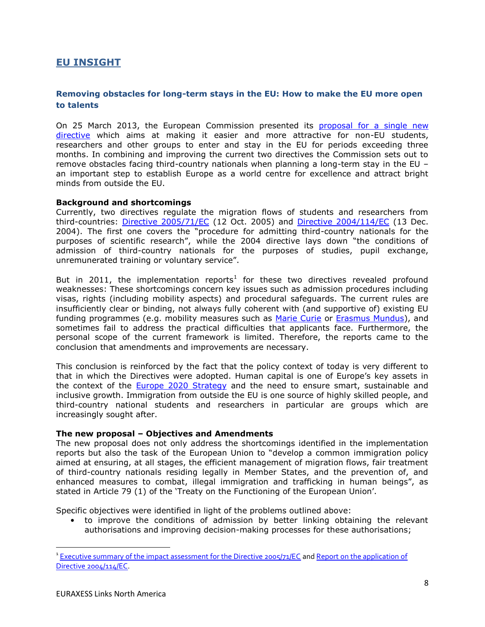# <span id="page-7-0"></span>**EU INSIGHT**

# <span id="page-7-1"></span>**Removing obstacles for long-term stays in the EU: How to make the EU more open to talents**

On 25 March 2013, the European Commission presented its proposal for a single new [directive](http://ec.europa.eu/dgs/home-affairs/e-library/documents/policies/immigration/study-or-training/docs/students_and_researchers_proposal_com_2013_151_en.pdf) which aims at making it easier and more attractive for non-EU students, researchers and other groups to enter and stay in the EU for periods exceeding three months. In combining and improving the current two directives the Commission sets out to remove obstacles facing third-country nationals when planning a long-term stay in the EU – an important step to establish Europe as a world centre for excellence and attract bright minds from outside the EU.

### **Background and shortcomings**

Currently, two directives regulate the migration flows of students and researchers from third-countries: [Directive 2005/71/EC](http://eur-lex.europa.eu/LexUriServ/LexUriServ.do?uri=OJ:L:2005:289:0015:0022:EN:PDF) (12 Oct. 2005) and [Directive 2004/114/EC](http://eur-lex.europa.eu/LexUriServ/LexUriServ.do?uri=OJ:L:2004:375:0012:0018:En:PDF) (13 Dec. 2004). The first one covers the "procedure for admitting third-country nationals for the purposes of scientific research", while the 2004 directive lays down "the conditions of admission of third-country nationals for the purposes of studies, pupil exchange, unremunerated training or voluntary service".

But in 2011, the implementation reports<sup>1</sup> for these two directives revealed profound weaknesses: These shortcomings concern key issues such as admission procedures including visas, rights (including mobility aspects) and procedural safeguards. The current rules are insufficiently clear or binding, not always fully coherent with (and supportive of) existing EU funding programmes (e.g. mobility measures such as [Marie Curie](http://ec.europa.eu/research/mariecurieactions/) or [Erasmus Mundus\)](http://ec.europa.eu/education/external-relation-programmes/mundus_en.htm), and sometimes fail to address the practical difficulties that applicants face. Furthermore, the personal scope of the current framework is limited. Therefore, the reports came to the conclusion that amendments and improvements are necessary.

This conclusion is reinforced by the fact that the policy context of today is very different to that in which the Directives were adopted. Human capital is one of Europe's key assets in the context of the [Europe 2020 Strategy](http://eur-lex.europa.eu/LexUriServ/LexUriServ.do?uri=COM:2010:2020:FIN:EN:PDF) and the need to ensure smart, sustainable and inclusive growth. Immigration from outside the EU is one source of highly skilled people, and third-country national students and researchers in particular are groups which are increasingly sought after.

#### **The new proposal – Objectives and Amendments**

The new proposal does not only address the shortcomings identified in the implementation reports but also the task of the European Union to "develop a common immigration policy aimed at ensuring, at all stages, the efficient management of migration flows, fair treatment of third-country nationals residing legally in Member States, and the prevention of, and enhanced measures to combat, illegal immigration and trafficking in human beings", as stated in Article 79 (1) of the 'Treaty on the Functioning of the European Union'.

Specific objectives were identified in light of the problems outlined above:

• to improve the conditions of admission by better linking obtaining the relevant authorisations and improving decision-making processes for these authorisations;

 $\ddot{\phantom{a}}$ 

<sup>&</sup>lt;sup>1</sup> [Executive summary of the impact assessment for the Directive 2005/71/EC](http://ec.europa.eu/euraxess/pdf/directive_executive_summary_22092011.pdf) and Report on the application of [Directive 2004/114/EC.](http://ec.europa.eu/dgs/home-affairs/e-library/documents/policies/immigration/pdf/study-or-training/1_en_act_part1_v6.pdf)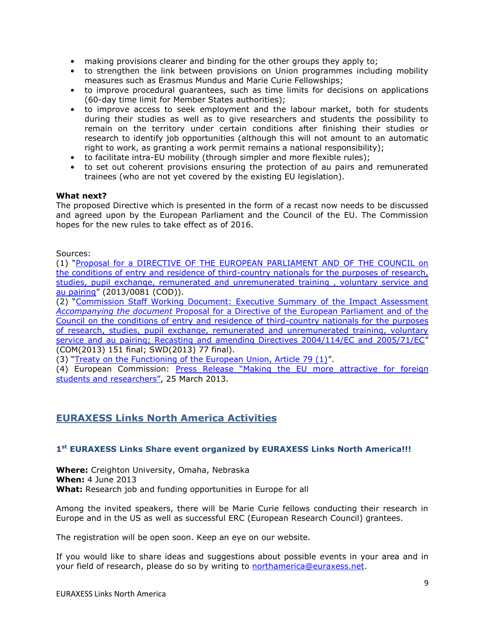- making provisions clearer and binding for the other groups they apply to;
- to strengthen the link between provisions on Union programmes including mobility measures such as Erasmus Mundus and Marie Curie Fellowships;
- to improve procedural guarantees, such as time limits for decisions on applications (60-day time limit for Member States authorities);
- to improve access to seek employment and the labour market, both for students during their studies as well as to give researchers and students the possibility to remain on the territory under certain conditions after finishing their studies or research to identify job opportunities (although this will not amount to an automatic right to work, as granting a work permit remains a national responsibility);
- to facilitate intra-EU mobility (through simpler and more flexible rules);
- to set out coherent provisions ensuring the protection of au pairs and remunerated trainees (who are not yet covered by the existing EU legislation).

### **What next?**

The proposed Directive which is presented in the form of a recast now needs to be discussed and agreed upon by the European Parliament and the Council of the EU. The Commission hopes for the new rules to take effect as of 2016.

Sources:

(1) "[Proposal for a DIRECTIVE OF THE EUROPEAN PARLIAMENT AND OF THE COUNCIL on](http://ec.europa.eu/dgs/home-affairs/e-library/documents/policies/immigration/study-or-training/docs/students_and_researchers_proposal_com_2013_151_en.pdf)  the conditions of entry and residence of third-country nationals for the purposes of research, studies, pupil exchange, remunerated and unremunerated training, voluntary service and [au pairing](http://ec.europa.eu/dgs/home-affairs/e-library/documents/policies/immigration/study-or-training/docs/students_and_researchers_proposal_com_2013_151_en.pdf)" (2013/0081 (COD)).

(2) "[Commission Staff Working Document: Executive Summary of the Impact Assessment](http://ec.europa.eu/governance/impact/ia_carried_out/docs/ia_2013/swd_2013_0078_en.pdf)  *Accompanying the document* [Proposal for a Directive of the European Parliament and of the](http://ec.europa.eu/governance/impact/ia_carried_out/docs/ia_2013/swd_2013_0078_en.pdf)  [Council on the conditions of entry and residence of third-country nationals for the purposes](http://ec.europa.eu/governance/impact/ia_carried_out/docs/ia_2013/swd_2013_0078_en.pdf)  of research, studies, pupil exchange, remunerated and unremunerated training, voluntary [service and au pairing; Recasting and amending Directives 2004/114/EC and 2005/71/EC](http://ec.europa.eu/governance/impact/ia_carried_out/docs/ia_2013/swd_2013_0078_en.pdf)" (COM(2013) 151 final; SWD(2013) 77 final).

(3) "[Treaty on the Functioning of the European Union, Article 79 \(1\)](http://www.consilium.europa.eu/uedocs/cmsUpload/st06655-re01.en08.pdf)".

(4) European Commission: [Press Release "Making the EU more attractive](http://europa.eu/rapid/press-release_IP-13-275_en.htm) for foreign [students and researchers"](http://europa.eu/rapid/press-release_IP-13-275_en.htm), 25 March 2013.

# <span id="page-8-0"></span>**EURAXESS Links North America Activities**

### <span id="page-8-1"></span>**1 st EURAXESS Links Share event organized by EURAXESS Links North America!!!**

**Where:** Creighton University, Omaha, Nebraska **When:** 4 June 2013 **What:** Research job and funding opportunities in Europe for all

Among the invited speakers, there will be Marie Curie fellows conducting their research in Europe and in the US as well as successful ERC (European Research Council) grantees.

The registration will be open soon. Keep an eye on our website.

If you would like to share ideas and suggestions about possible events in your area and in your field of research, please do so by writing to [northamerica@euraxess.net.](mailto:northamerica@euraxess.net)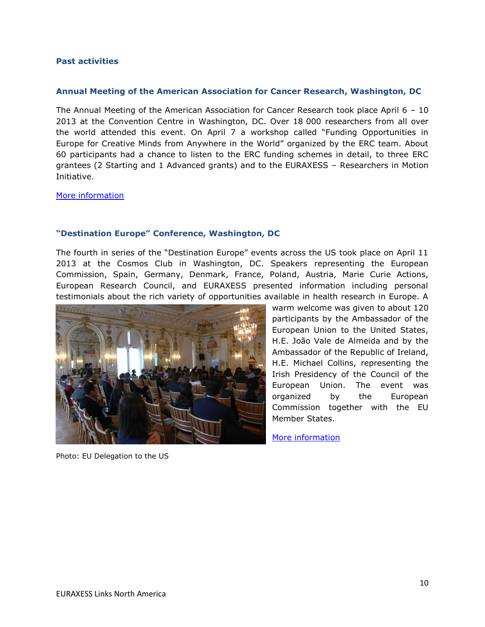### <span id="page-9-0"></span>**Past activities**

#### **Annual Meeting of the American Association for Cancer Research, Washington, DC**

The Annual Meeting of the American Association for Cancer Research took place April  $6 - 10$ 2013 at the Convention Centre in Washington, DC. Over 18 000 researchers from all over the world attended this event. On April 7 a workshop called "Funding Opportunities in Europe for Creative Minds from Anywhere in the World" organized by the ERC team. About 60 participants had a chance to listen to the ERC funding schemes in detail, to three ERC grantees (2 Starting and 1 Advanced grants) and to the EURAXESS – Researchers in Motion Initiative.

[More information](http://www.aacr.org/home/scientists/meetings--workshops/aacr-annual-meeting-2013.aspx)

### **"Destination Europe" Conference, Washington, DC**

The fourth in series of the "Destination Europe" events across the US took place on April 11 2013 at the Cosmos Club in Washington, DC. Speakers representing the European Commission, Spain, Germany, Denmark, France, Poland, Austria, Marie Curie Actions, European Research Council, and EURAXESS presented information including personal testimonials about the rich variety of opportunities available in health research in Europe. A



Photo: EU Delegation to the US

warm welcome was given to about 120 participants by the Ambassador of the European Union to the United States, H.E. João Vale de Almeida and by the Ambassador of the Republic of Ireland, H.E. Michael Collins, representing the Irish Presidency of the Council of the European Union. The event was organized by the European Commission together with the EU Member States.

[More information](http://ec.europa.eu/research/iscp/index.cfm?pg=washington)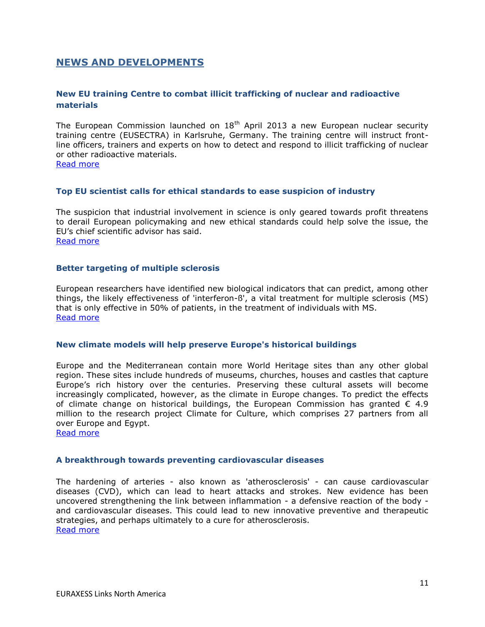# <span id="page-10-0"></span>**NEWS AND DEVELOPMENTS**

# <span id="page-10-1"></span>**New EU training Centre to combat illicit trafficking of nuclear and radioactive materials**

The European Commission launched on 18<sup>th</sup> April 2013 a new European nuclear security training centre (EUSECTRA) in Karlsruhe, Germany. The training centre will instruct frontline officers, trainers and experts on how to detect and respond to illicit trafficking of nuclear or other radioactive materials.

[Read more](http://europa.eu/rapid/press-release_IP-13-338_en.htm)

### <span id="page-10-2"></span>**Top EU scientist calls for ethical standards to ease suspicion of industry**

The suspicion that industrial involvement in science is only geared towards profit threatens to derail European policymaking and new ethical standards could help solve the issue, the EU's chief scientific advisor has said. [Read more](http://www.euractiv.com/science-policymaking/chief-scientist-calls-standards-news-519033)

### <span id="page-10-3"></span>**Better targeting of multiple sclerosis**

European researchers have identified new biological indicators that can predict, among other things, the likely effectiveness of 'interferon-ß', a vital treatment for multiple sclerosis (MS) that is only effective in 50% of patients, in the treatment of individuals with MS. [Read more](http://ec.europa.eu/research/infocentre/article_en.cfm?id=/research/headlines/news/article_13_04_19_en.html&item=All&artid=29713&caller=AllHeadlines)

#### <span id="page-10-4"></span>**New climate models will help preserve Europe's historical buildings**

Europe and the Mediterranean contain more World Heritage sites than any other global region. These sites include hundreds of museums, churches, houses and castles that capture Europe's rich history over the centuries. Preserving these cultural assets will become increasingly complicated, however, as the climate in Europe changes. To predict the effects of climate change on historical buildings, the European Commission has granted  $\epsilon$  4.9 million to the research project Climate for Culture, which comprises 27 partners from all over Europe and Egypt.

[Read more](http://ec.europa.eu/research/infocentre/article_en.cfm?id=/research/headlines/news/article_13_04_17_en.html&item=All&artid=29693&caller=AllHeadlines)

#### <span id="page-10-5"></span>**A breakthrough towards preventing cardiovascular diseases**

The hardening of arteries - also known as 'atherosclerosis' - can cause cardiovascular diseases (CVD), which can lead to heart attacks and strokes. New evidence has been uncovered strengthening the link between inflammation - a defensive reaction of the body and cardiovascular diseases. This could lead to new innovative preventive and therapeutic strategies, and perhaps ultimately to a cure for atherosclerosis. [Read more](http://ec.europa.eu/research/infocentre/article_en.cfm?id=/research/headlines/news/article_13_04_16_en.html&item=All&artid=29673&caller=AllHeadlines)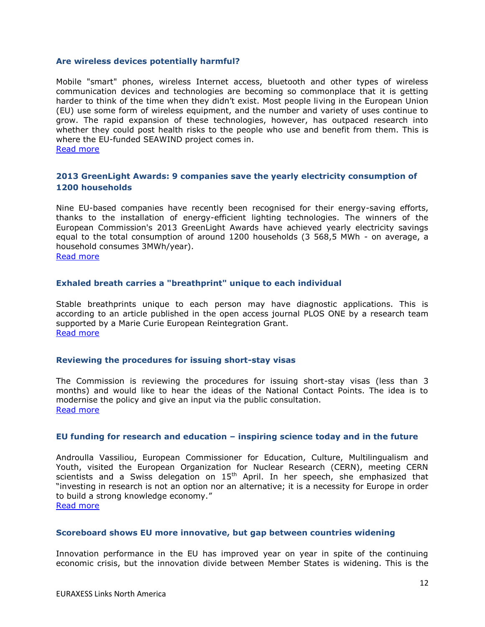#### <span id="page-11-0"></span>**Are wireless devices potentially harmful?**

Mobile "smart" phones, wireless Internet access, bluetooth and other types of wireless communication devices and technologies are becoming so commonplace that it is getting harder to think of the time when they didn't exist. Most people living in the European Union (EU) use some form of wireless equipment, and the number and variety of uses continue to grow. The rapid expansion of these technologies, however, has outpaced research into whether they could post health risks to the people who use and benefit from them. This is where the EU-funded SEAWIND project comes in. [Read more](http://ec.europa.eu/research/infocentre/article_en.cfm?id=/research/headlines/news/article_13_04_12_en.html&item=All&artid=29653&caller=AllHeadlines)

## <span id="page-11-1"></span>**2013 GreenLight Awards: 9 companies save the yearly electricity consumption of 1200 households**

Nine EU-based companies have recently been recognised for their energy-saving efforts, thanks to the installation of energy-efficient lighting technologies. The winners of the European Commission's 2013 GreenLight Awards have achieved yearly electricity savings equal to the total consumption of around 1200 households (3 568,5 MWh - on average, a household consumes 3MWh/year).

[Read more](http://europa.eu/rapid/press-release_IP-13-278_en.htm)

### <span id="page-11-2"></span>**Exhaled breath carries a "breathprint" unique to each individual**

Stable breathprints unique to each person may have diagnostic applications. This is according to an article published in the open access journal PLOS ONE by a research team supported by a Marie Curie European Reintegration Grant. [Read more](http://ec.europa.eu/research/mariecurieactions/news-events/news/2013/exhaled_breath_en.htm)

#### <span id="page-11-3"></span>**Reviewing the procedures for issuing short-stay visas**

The Commission is reviewing the procedures for issuing short-stay visas (less than 3 months) and would like to hear the ideas of the National Contact Points. The idea is to modernise the policy and give an input via the public consultation. [Read more](http://ec.europa.eu/research/mariecurieactions/news-events/news/2013/reviewing_the_procedures_for_issuing_short-stay_visas_en.htm)

#### <span id="page-11-4"></span>**EU funding for research and education – inspiring science today and in the future**

Androulla Vassiliou, European Commissioner for Education, Culture, Multilingualism and Youth, visited the European Organization for Nuclear Research (CERN), meeting CERN scientists and a Swiss delegation on  $15<sup>th</sup>$  April. In her speech, she emphasized that "investing in research is not an option nor an alternative; it is a necessity for Europe in order to build a strong knowledge economy." [Read more](http://ec.europa.eu/research/mariecurieactions/news-events/news/2013/eu_funding_for_research_and_education_inspiring_science_today_and_in_the_future_en.htm)

#### <span id="page-11-5"></span>**Scoreboard shows EU more innovative, but gap between countries widening**

Innovation performance in the EU has improved year on year in spite of the continuing economic crisis, but the innovation divide between Member States is widening. This is the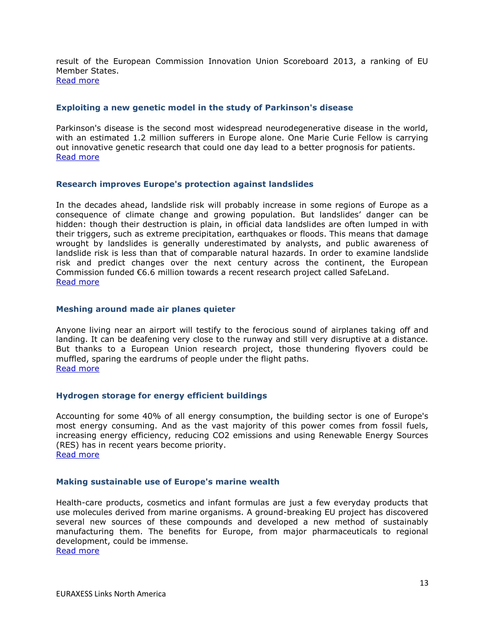result of the European Commission Innovation Union Scoreboard 2013, a ranking of EU Member States. [Read more](http://europa.eu/rapid/press-release_IP-13-270_en.htm)

#### <span id="page-12-0"></span>**Exploiting a new genetic model in the study of Parkinson's disease**

Parkinson's disease is the second most widespread neurodegenerative disease in the world, with an estimated 1.2 million sufferers in Europe alone. One Marie Curie Fellow is carrying out innovative genetic research that could one day lead to a better prognosis for patients. [Read more](http://ec.europa.eu/research/infocentre/article_en.cfm?id=/research/headlines/news/article_13_04_11_en.html&item=All&artid=29636&caller=AllHeadlines)

#### <span id="page-12-1"></span>**Research improves Europe's protection against landslides**

In the decades ahead, landslide risk will probably increase in some regions of Europe as a consequence of climate change and growing population. But landslides' danger can be hidden: though their destruction is plain, in official data landslides are often lumped in with their triggers, such as extreme precipitation, earthquakes or floods. This means that damage wrought by landslides is generally underestimated by analysts, and public awareness of landslide risk is less than that of comparable natural hazards. In order to examine landslide risk and predict changes over the next century across the continent, the European Commission funded €6.6 million towards a recent research project called SafeLand. [Read more](http://ec.europa.eu/research/infocentre/article_en.cfm?id=/research/headlines/news/article_13_04_10_en.html&item=All&artid=29633&caller=AllHeadlines)

#### <span id="page-12-2"></span>**Meshing around made air planes quieter**

Anyone living near an airport will testify to the ferocious sound of airplanes taking off and landing. It can be deafening very close to the runway and still very disruptive at a distance. But thanks to a European Union research project, those thundering flyovers could be muffled, sparing the eardrums of people under the flight paths. [Read more](http://ec.europa.eu/research/infocentre/article_en.cfm?id=/research/headlines/news/article_13_04_05_en.html&item=All&artid=29573&caller=AllHeadlines)

#### <span id="page-12-3"></span>**Hydrogen storage for energy efficient buildings**

Accounting for some 40% of all energy consumption, the building sector is one of Europe's most energy consuming. And as the vast majority of this power comes from fossil fuels, increasing energy efficiency, reducing CO2 emissions and using Renewable Energy Sources (RES) has in recent years become priority. [Read more](http://ec.europa.eu/research/infocentre/article_en.cfm?id=/research/headlines/news/article_13_04_03_en.html&item=All&artid=29553&caller=AllHeadlines)

#### <span id="page-12-4"></span>**Making sustainable use of Europe's marine wealth**

Health-care products, cosmetics and infant formulas are just a few everyday products that use molecules derived from marine organisms. A ground-breaking EU project has discovered several new sources of these compounds and developed a new method of sustainably manufacturing them. The benefits for Europe, from major pharmaceuticals to regional development, could be immense. [Read more](http://ec.europa.eu/research/infocentre/article_en.cfm?id=/research/headlines/news/article_13_03_26_en.html&item=All&artid=29513&caller=AllHeadlines)

EURAXESS Links North America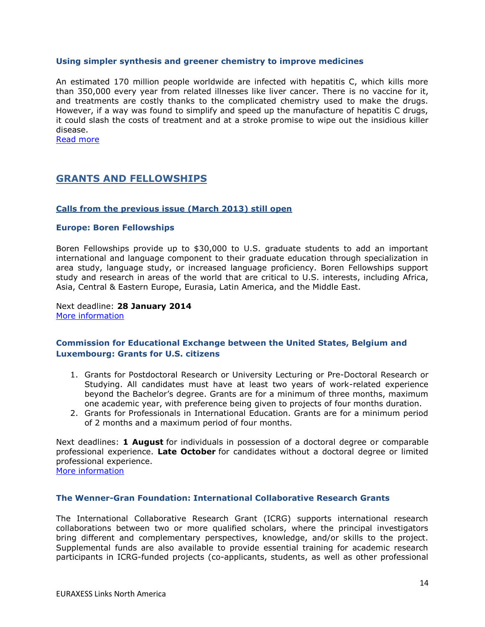#### <span id="page-13-0"></span>**Using simpler synthesis and greener chemistry to improve medicines**

An estimated 170 million people worldwide are infected with hepatitis C, which kills more than 350,000 every year from related illnesses like liver cancer. There is no vaccine for it, and treatments are costly thanks to the complicated chemistry used to make the drugs. However, if a way was found to simplify and speed up the manufacture of hepatitis C drugs, it could slash the costs of treatment and at a stroke promise to wipe out the insidious killer disease.

<span id="page-13-1"></span>[Read more](http://ec.europa.eu/research/infocentre/article_en.cfm?id=/research/headlines/news/article_13_03_25_en.html&item=All&artid=29493&caller=AllHeadlines)

# **GRANTS AND FELLOWSHIPS**

#### <span id="page-13-2"></span>**Calls from the previous issue (March 2013) still open**

#### <span id="page-13-3"></span>**Europe: Boren Fellowships**

Boren Fellowships provide up to \$30,000 to U.S. graduate students to add an important international and language component to their graduate education through specialization in area study, language study, or increased language proficiency. Boren Fellowships support study and research in areas of the world that are critical to U.S. interests, including Africa, Asia, Central & Eastern Europe, Eurasia, Latin America, and the Middle East.

#### Next deadline: **28 January 2014** [More information](http://www.borenawards.org/boren_fellowship)

## <span id="page-13-4"></span>**Commission for Educational Exchange between the United States, Belgium and Luxembourg: Grants for U.S. citizens**

- 1. Grants for Postdoctoral Research or University Lecturing or Pre-Doctoral Research or Studying. All candidates must have at least two years of work-related experience beyond the Bachelor's degree. Grants are for a minimum of three months, maximum one academic year, with preference being given to projects of four months duration.
- 2. Grants for Professionals in International Education. Grants are for a minimum period of 2 months and a maximum period of four months.

Next deadlines: **1 August** for individuals in possession of a doctoral degree or comparable professional experience. **Late October** for candidates without a doctoral degree or limited professional experience.

# [More information](http://www.fulbright.be/fulbright-awards/fulbright-schuman/grants-for-us-citizens/)

#### <span id="page-13-5"></span>**The Wenner-Gran Foundation: International Collaborative Research Grants**

The International Collaborative Research Grant (ICRG) supports international research collaborations between two or more qualified scholars, where the principal investigators bring different and complementary perspectives, knowledge, and/or skills to the project. Supplemental funds are also available to provide essential training for academic research participants in ICRG-funded projects (co-applicants, students, as well as other professional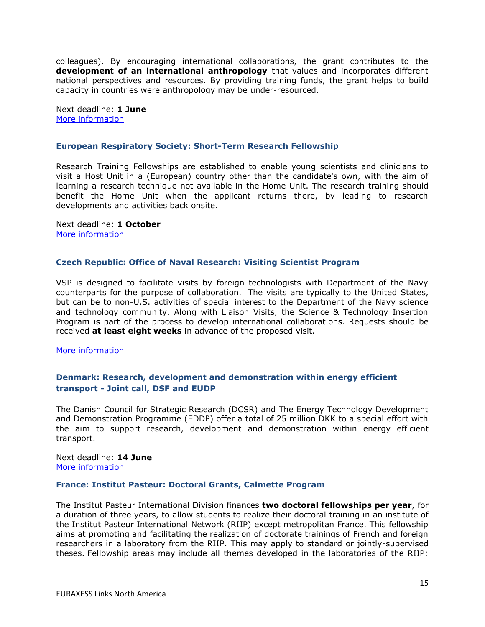colleagues). By encouraging international collaborations, the grant contributes to the **development of an international anthropology** that values and incorporates different national perspectives and resources. By providing training funds, the grant helps to build capacity in countries were anthropology may be under-resourced.

Next deadline: **1 June** [More information](http://www.wennergren.org/programs/international-collaborative-research-grants)

#### <span id="page-14-0"></span>**European Respiratory Society: Short-Term Research Fellowship**

Research Training Fellowships are established to enable young scientists and clinicians to visit a Host Unit in a (European) country other than the candidate's own, with the aim of learning a research technique not available in the Home Unit. The research training should benefit the Home Unit when the applicant returns there, by leading to research developments and activities back onsite.

Next deadline: **1 October** [More information](http://www.ersnet.org/ers-funding/fellowships/short-term.html)

#### <span id="page-14-1"></span>**Czech Republic: Office of Naval Research: Visiting Scientist Program**

VSP is designed to facilitate visits by foreign technologists with Department of the Navy counterparts for the purpose of collaboration. The visits are typically to the United States, but can be to non-U.S. activities of special interest to the Department of the Navy science and technology community. Along with Liaison Visits, the Science & Technology Insertion Program is part of the process to develop international collaborations. Requests should be received **at least eight weeks** in advance of the proposed visit.

[More information](http://prague.usembassy.gov/onr.html)

### <span id="page-14-2"></span>**Denmark: Research, development and demonstration within energy efficient transport - Joint call, DSF and EUDP**

The Danish Council for Strategic Research (DCSR) and The Energy Technology Development and Demonstration Programme (EDDP) offer a total of 25 million DKK to a special effort with the aim to support research, development and demonstration within energy efficient transport.

Next deadline: **14 June** [More information](http://fivu.dk/en/research-and-innovation/funding-programmes-for-research-and-innovation/calls/2013/research-development-and-demonstration-within-enery-efficient-transport-joint-call-dsf-and-eudp)

#### <span id="page-14-3"></span>**France: Institut Pasteur: Doctoral Grants, Calmette Program**

The Institut Pasteur International Division finances **two doctoral fellowships per year**, for a duration of three years, to allow students to realize their doctoral training in an institute of the Institut Pasteur International Network (RIIP) except metropolitan France. This fellowship aims at promoting and facilitating the realization of doctorate trainings of French and foreign researchers in a laboratory from the RIIP. This may apply to standard or jointly-supervised theses. Fellowship areas may include all themes developed in the laboratories of the RIIP: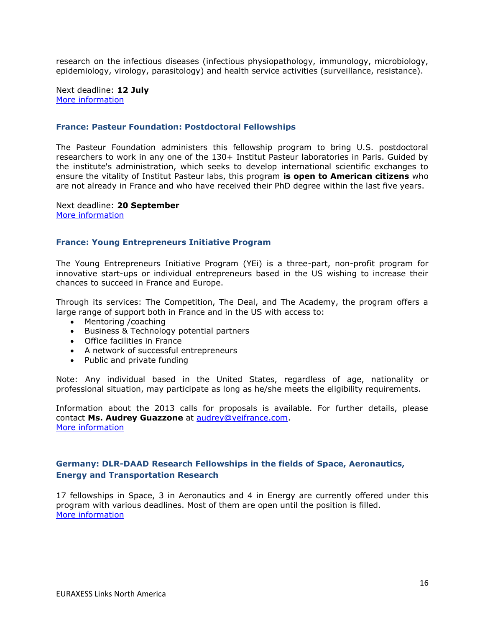research on the infectious diseases (infectious physiopathology, immunology, microbiology, epidemiology, virology, parasitology) and health service activities (surveillance, resistance).

Next deadline: **12 July** [More information](http://www.pasteur-international.org/ip/easysite/pasteur-international-en/for-scientists/fellowships2/doctoral-grants2)

#### <span id="page-15-0"></span>**France: Pasteur Foundation: Postdoctoral Fellowships**

The Pasteur Foundation administers this fellowship program to bring U.S. postdoctoral researchers to work in any one of the 130+ Institut Pasteur laboratories in Paris. Guided by the institute's administration, which seeks to develop international scientific exchanges to ensure the vitality of Institut Pasteur labs, this program **is open to American citizens** who are not already in France and who have received their PhD degree within the last five years.

Next deadline: **20 September** [More information](http://www.pasteurfoundation.org/fellowships.shtml)

#### <span id="page-15-1"></span>**France: Young Entrepreneurs Initiative Program**

The Young Entrepreneurs Initiative Program (YEi) is a three-part, non-profit program for innovative start-ups or individual entrepreneurs based in the US wishing to increase their chances to succeed in France and Europe.

Through its services: The Competition, The Deal, and The Academy, the program offers a large range of support both in France and in the US with access to:

- Mentoring / coaching
- Business & Technology potential partners
- Office facilities in France
- A network of successful entrepreneurs
- Public and private funding

Note: Any individual based in the United States, regardless of age, nationality or professional situation, may participate as long as he/she meets the eligibility requirements.

Information about the 2013 calls for proposals is available. For further details, please contact **Ms. Audrey Guazzone** at [audrey@yeifrance.com.](mailto:audrey@yeifrance.com) [More information](http://www.yeifrance.com/)

## <span id="page-15-2"></span>**Germany: DLR-DAAD Research Fellowships in the fields of Space, Aeronautics, Energy and Transportation Research**

17 fellowships in Space, 3 in Aeronautics and 4 in Energy are currently offered under this program with various deadlines. Most of them are open until the position is filled. [More information](https://www.daad.de/deutschland/stipendium/datenbank/de/15371-dlr-daad-research-fellowships-current-offers/)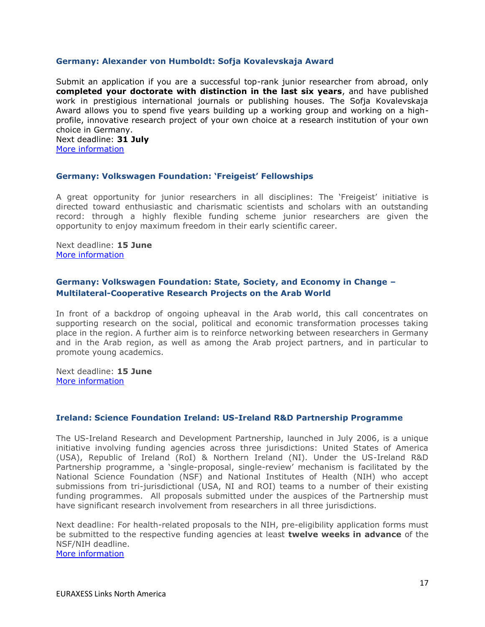#### <span id="page-16-0"></span>**Germany: Alexander von Humboldt: Sofja Kovalevskaja Award**

Submit an application if you are a successful top-rank junior researcher from abroad, only **completed your doctorate with distinction in the last six years**, and have published work in prestigious international journals or publishing houses. The Sofja Kovalevskaja Award allows you to spend five years building up a working group and working on a highprofile, innovative research project of your own choice at a research institution of your own choice in Germany. Next deadline: **31 July**

[More information](http://www.humboldt-foundation.de/web/kovalevskaja-award.html)

#### <span id="page-16-1"></span>**Germany: Volkswagen Foundation: 'Freigeist' Fellowships**

A great opportunity for junior researchers in all disciplines: The 'Freigeist' initiative is directed toward enthusiastic and charismatic scientists and scholars with an outstanding record: through a highly flexible funding scheme junior researchers are given the opportunity to enjoy maximum freedom in their early scientific career.

#### Next deadline: **15 June** [More information](http://www.volkswagenstiftung.de/fileadmin/downloads/merkblaetter/MB_99_e.pdf)

#### <span id="page-16-2"></span>**Germany: Volkswagen Foundation: State, Society, and Economy in Change – Multilateral-Cooperative Research Projects on the Arab World**

In front of a backdrop of ongoing upheaval in the Arab world, this call concentrates on supporting research on the social, political and economic transformation processes taking place in the region. A further aim is to reinforce networking between researchers in Germany and in the Arab region, as well as among the Arab project partners, and in particular to promote young academics.

Next deadline: **15 June** [More information](http://www.volkswagenstiftung.de/fileadmin/downloads/merkblaetter/MB_101_e.pdf)

#### <span id="page-16-3"></span>**Ireland: Science Foundation Ireland: US-Ireland R&D Partnership Programme**

The US-Ireland Research and Development Partnership, launched in July 2006, is a unique initiative involving funding agencies across three jurisdictions: United States of America (USA), Republic of Ireland (RoI) & Northern Ireland (NI). Under the US-Ireland R&D Partnership programme, a 'single-proposal, single-review' mechanism is facilitated by the National Science Foundation (NSF) and National Institutes of Health (NIH) who accept submissions from tri-jurisdictional (USA, NI and ROI) teams to a number of their existing funding programmes. All proposals submitted under the auspices of the Partnership must have significant research involvement from researchers in all three jurisdictions.

Next deadline: For health-related proposals to the NIH, pre-eligibility application forms must be submitted to the respective funding agencies at least **twelve weeks in advance** of the NSF/NIH deadline.

[More information](http://www.sfi.ie/funding/funding-calls/open-calls/us-ireland-rd-partnership-programme/)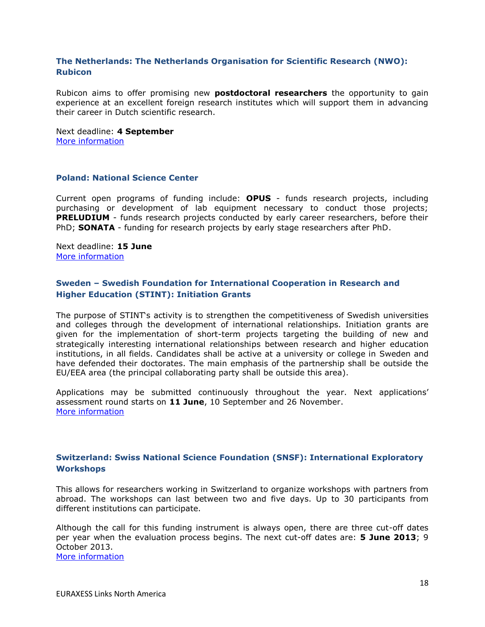# <span id="page-17-0"></span>**The Netherlands: The Netherlands Organisation for Scientific Research (NWO): Rubicon**

Rubicon aims to offer promising new **postdoctoral researchers** the opportunity to gain experience at an excellent foreign research institutes which will support them in advancing their career in Dutch scientific research.

Next deadline: **4 September** [More information](http://www.nwo.nl/en/funding/our-funding-instruments/nwo/rubicon/rubicon.html)

#### <span id="page-17-1"></span>**Poland: National Science Center**

Current open programs of funding include: **OPUS** - funds research projects, including purchasing or development of lab equipment necessary to conduct those projects; **PRELUDIUM** - funds research projects conducted by early career researchers, before their PhD; **SONATA** - funding for research projects by early stage researchers after PhD.

Next deadline: **15 June** [More information](http://www.ncn.gov.pl/finansowanie-nauki/konkursy)

# <span id="page-17-2"></span>**Sweden – Swedish Foundation for International Cooperation in Research and Higher Education (STINT): Initiation Grants**

The purpose of STINT's activity is to strengthen the competitiveness of Swedish universities and colleges through the development of international relationships. Initiation grants are given for the implementation of short-term projects targeting the building of new and strategically interesting international relationships between research and higher education institutions, in all fields. Candidates shall be active at a university or college in Sweden and have defended their doctorates. The main emphasis of the partnership shall be outside the EU/EEA area (the principal collaborating party shall be outside this area).

Applications may be submitted continuously throughout the year. Next applications' assessment round starts on **11 June**, 10 September and 26 November. [More information](http://www.stint.se/en/scholarships_and_grants/initiation_grants)

## <span id="page-17-3"></span>**Switzerland: Swiss National Science Foundation (SNSF): International Exploratory Workshops**

This allows for researchers working in Switzerland to organize workshops with partners from abroad. The workshops can last between two and five days. Up to 30 participants from different institutions can participate.

Although the call for this funding instrument is always open, there are three cut-off dates per year when the evaluation process begins. The next cut-off dates are: **5 June 2013**; 9 October 2013. [More information](http://www.snf.ch/E/international/worldwide/international-exploratory-workshops/Pages/default.aspx)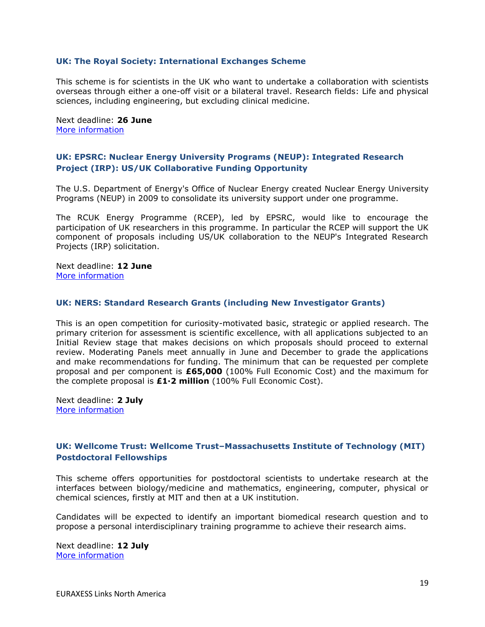#### <span id="page-18-0"></span>**UK: The Royal Society: International Exchanges Scheme**

This scheme is for scientists in the UK who want to undertake a collaboration with scientists overseas through either a one-off visit or a bilateral travel. Research fields: Life and physical sciences, including engineering, but excluding clinical medicine.

Next deadline: **26 June** [More information](http://royalsociety.org/grants/schemes/international-exchanges/)

## <span id="page-18-1"></span>**UK: EPSRC: Nuclear Energy University Programs (NEUP): Integrated Research Project (IRP): US/UK Collaborative Funding Opportunity**

The U.S. Department of Energy's Office of Nuclear Energy created Nuclear Energy University Programs (NEUP) in 2009 to consolidate its university support under one programme.

The RCUK Energy Programme (RCEP), led by EPSRC, would like to encourage the participation of UK researchers in this programme. In particular the RCEP will support the UK component of proposals including US/UK collaboration to the NEUP's Integrated Research Projects (IRP) solicitation.

Next deadline: **12 June** [More information](http://www.epsrc.ac.uk/funding/calls/open/Pages/neup.aspx)

#### <span id="page-18-2"></span>**UK: NERS: Standard Research Grants (including New Investigator Grants)**

This is an open competition for curiosity-motivated basic, strategic or applied research. The primary criterion for assessment is scientific excellence, with all applications subjected to an Initial Review stage that makes decisions on which proposals should proceed to external review. Moderating Panels meet annually in June and December to grade the applications and make recommendations for funding. The minimum that can be requested per complete proposal and per component is **£65,000** (100% Full Economic Cost) and the maximum for the complete proposal is **£1·2 million** (100% Full Economic Cost).

Next deadline: **2 July** [More information](http://www.nerc.ac.uk/funding/available/researchgrants/typesofaward/standards.asp)

## <span id="page-18-3"></span>**UK: Wellcome Trust: Wellcome Trust–Massachusetts Institute of Technology (MIT) Postdoctoral Fellowships**

This scheme offers opportunities for postdoctoral scientists to undertake research at the interfaces between biology/medicine and mathematics, engineering, computer, physical or chemical sciences, firstly at MIT and then at a UK institution.

Candidates will be expected to identify an important biomedical research question and to propose a personal interdisciplinary training programme to achieve their research aims.

Next deadline: **12 July** [More information](http://www.wellcome.ac.uk/Funding/Biomedical-science/Funding-schemes/Fellowships/International-fellowships/WTX054661.htm)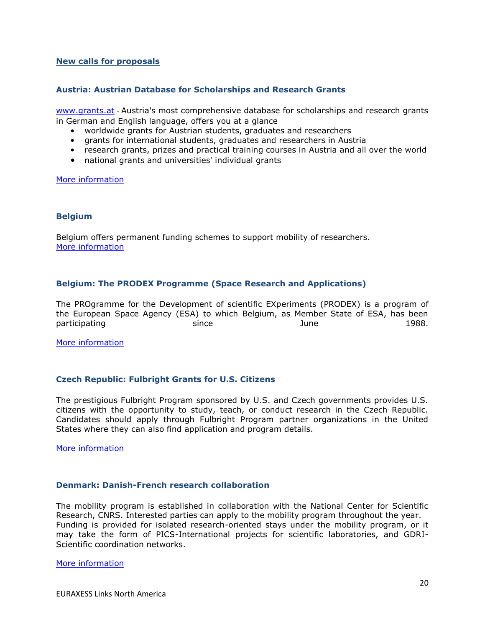#### <span id="page-19-0"></span>**New calls for proposals**

#### <span id="page-19-1"></span>**Austria: Austrian Database for Scholarships and Research Grants**

[www.grants.at](http://www.grants.at/) - Austria's most comprehensive database for scholarships and research grants in German and English language, offers you at a glance

- worldwide grants for Austrian students, graduates and researchers
- grants for international students, graduates and researchers in Austria
- research grants, prizes and practical training courses in Austria and all over the world
- national grants and universities' individual grants

[More information](http://www.oead.at/index.php?id=737&L=1)

#### <span id="page-19-2"></span>**Belgium**

Belgium offers permanent funding schemes to support mobility of researchers. [More information](http://www.research.be/ListURL/list.asp?KeyID=624&up=619)

### <span id="page-19-3"></span>**Belgium: The PRODEX Programme (Space Research and Applications)**

The PROgramme for the Development of scientific EXperiments (PRODEX) is a program of the European Space Agency (ESA) to which Belgium, as Member State of ESA, has been participating since since and the since of the state of the 1988.

[More information](file:///D:/Moje%20Dokumenty/Preberanie/Permanent%20funding%20scheme)

#### <span id="page-19-4"></span>**Czech Republic: Fulbright Grants for U.S. Citizens**

The prestigious Fulbright Program sponsored by U.S. and Czech governments provides U.S. citizens with the opportunity to study, teach, or conduct research in the Czech Republic. Candidates should apply through Fulbright Program partner organizations in the United States where they can also find application and program details.

[More information](http://www.fulbright.cz/fulbright-grants-us-citizens#partners)

#### <span id="page-19-5"></span>**Denmark: Danish-French research collaboration**

The mobility program is established in collaboration with the National Center for Scientific Research, CNRS. Interested parties can apply to the mobility program throughout the year. Funding is provided for isolated research-oriented stays under the mobility program, or it may take the form of PICS-International projects for scientific laboratories, and GDRI-Scientific coordination networks.

#### [More information](http://dg.dk/en/apply-for-support/)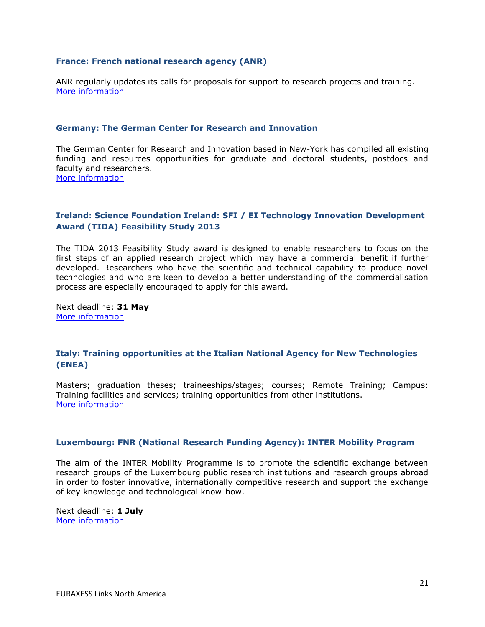#### <span id="page-20-0"></span>**France: French national research agency (ANR)**

ANR regularly updates its calls for proposals for support to research projects and training. [More information](http://www.agence-nationale-recherche.fr/en/research-programmes/calls-for-proposals/nc/?tx_saap_pi1%5btheme%5d=21&tx_saap_pi1%5bsearch%5d=&tx_saap_pi1%5bvalider%5d=1)

#### <span id="page-20-1"></span>**Germany: The German Center for Research and Innovation**

The German Center for Research and Innovation based in New-York has compiled all existing funding and resources opportunities for graduate and doctoral students, postdocs and faculty and researchers. [More information](http://www.germaninnovation.org/resources/faculty-and-researchers)

## <span id="page-20-2"></span>**Ireland: Science Foundation Ireland: SFI / EI Technology Innovation Development Award (TIDA) Feasibility Study 2013**

The TIDA 2013 Feasibility Study award is designed to enable researchers to focus on the first steps of an applied research project which may have a commercial benefit if further developed. Researchers who have the scientific and technical capability to produce novel technologies and who are keen to develop a better understanding of the commercialisation process are especially encouraged to apply for this award.

Next deadline: **31 May** [More information](http://www.sfi.ie/funding/funding-calls/open-calls/sfi-ei-technology-innovation-development-award-tida-feasibility-study-2013/)

### <span id="page-20-3"></span>**Italy: Training opportunities at the Italian National Agency for New Technologies (ENEA)**

Masters; graduation theses; traineeships/stages; courses; Remote Training; Campus: Training facilities and services; training opportunities from other institutions. [More information](http://www.enea.it/en/job-study)

#### <span id="page-20-4"></span>**Luxembourg: FNR (National Research Funding Agency): INTER Mobility Program**

The aim of the INTER Mobility Programme is to promote the scientific exchange between research groups of the Luxembourg public research institutions and research groups abroad in order to foster innovative, internationally competitive research and support the exchange of key knowledge and technological know-how.

Next deadline: **1 July** [More information](http://www.fnr.lu/en/Research-Programmes/Research-Programmes/Calls/INTER-Mobility-Programme-Call-for-Proposals)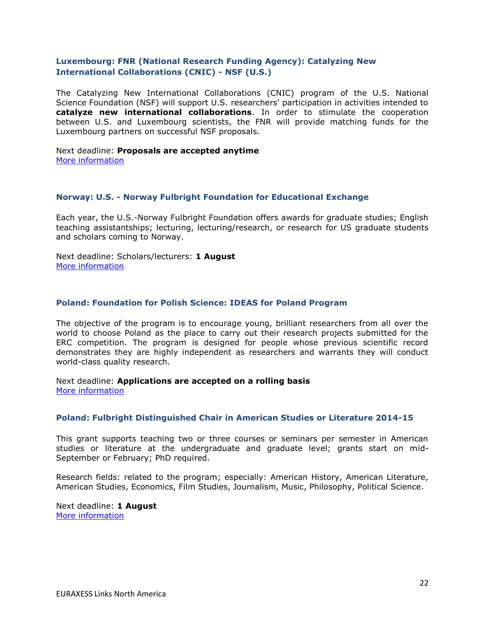# <span id="page-21-0"></span>**Luxembourg: FNR (National Research Funding Agency): Catalyzing New International Collaborations (CNIC) - NSF (U.S.)**

The Catalyzing New International Collaborations (CNIC) program of the U.S. National Science Foundation (NSF) will support U.S. researchers' participation in activities intended to **catalyze new international collaborations**. In order to stimulate the cooperation between U.S. and Luxembourg scientists, the FNR will provide matching funds for the Luxembourg partners on successful NSF proposals.

#### Next deadline: **Proposals are accepted anytime** [More information](http://www.fnr.lu/en/Research-Programmes/Research-Programmes/Calls/Catalyzing-New-International-Collaborations-CNIC-NSF-U.S)

#### <span id="page-21-1"></span>**Norway: U.S. - Norway Fulbright Foundation for Educational Exchange**

Each year, the U.S.-Norway Fulbright Foundation offers awards for graduate studies; English teaching assistantships; lecturing, lecturing/research, or research for US graduate students and scholars coming to Norway.

Next deadline: Scholars/lecturers: **1 August** [More information](http://www.noram.no/page.aspx?id=93&lid=44)

### <span id="page-21-2"></span>**Poland: Foundation for Polish Science: IDEAS for Poland Program**

The objective of the program is to encourage young, brilliant researchers from all over the world to choose Poland as the place to carry out their research projects submitted for the ERC competition. The program is designed for people whose previous scientific record demonstrates they are highly independent as researchers and warrants they will conduct world-class quality research.

Next deadline: **Applications are accepted on a rolling basis** [More information](http://www.fnp.org.pl/en/oferta/ideas-for-poland/)

#### <span id="page-21-3"></span>**Poland: Fulbright Distinguished Chair in American Studies or Literature 2014-15**

This grant supports teaching two or three courses or seminars per semester in American studies or literature at the undergraduate and graduate level; grants start on mid-September or February; PhD required.

Research fields: related to the program; especially: American History, American Literature, American Studies, Economics, Film Studies, Journalism, Music, Philosophy, Political Science.

Next deadline: **1 August** [More information](http://catalog.cies.org/viewAward.aspx?n=4297&dc=PL)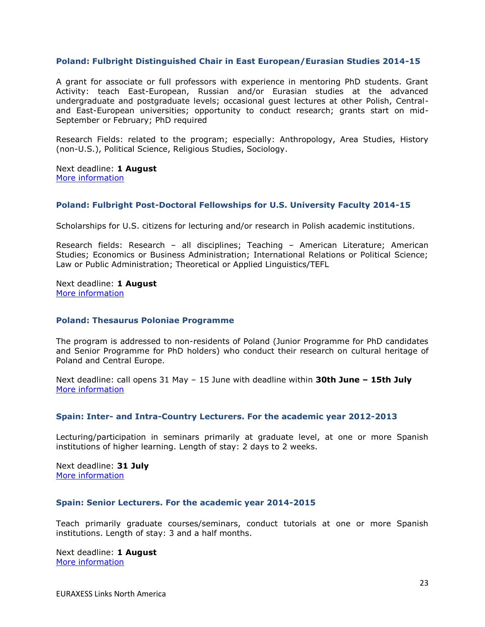### <span id="page-22-0"></span>**Poland: Fulbright Distinguished Chair in East European/Eurasian Studies 2014-15**

A grant for associate or full professors with experience in mentoring PhD students. Grant Activity: teach East-European, Russian and/or Eurasian studies at the advanced undergraduate and postgraduate levels; occasional guest lectures at other Polish, Centraland East-European universities; opportunity to conduct research; grants start on mid-September or February; PhD required

Research Fields: related to the program; especially: Anthropology, Area Studies, History (non-U.S.), Political Science, Religious Studies, Sociology.

Next deadline: **1 August** [More information](http://catalog.cies.org/viewAward.aspx?n=4298&dc=PL)

#### <span id="page-22-1"></span>**Poland: Fulbright Post-Doctoral Fellowships for U.S. University Faculty 2014-15**

Scholarships for U.S. citizens for lecturing and/or research in Polish academic institutions.

Research fields: Research – all disciplines; Teaching – American Literature; American Studies; Economics or Business Administration; International Relations or Political Science; Law or Public Administration; Theoretical or Applied Linguistics/TEFL

Next deadline: **1 August** [More information](http://catalog.cies.org/searchResults.aspx?wa=EU)

#### <span id="page-22-2"></span>**Poland: Thesaurus Poloniae Programme**

The program is addressed to non-residents of Poland (Junior Programme for PhD candidates and Senior Programme for PhD holders) who conduct their research on cultural heritage of Poland and Central Europe.

Next deadline: call opens 31 May – 15 June with deadline within **30th June – 15th July** [More information](http://www.mck.krakow.pl/page/thesaurus-poloniae-1)

#### <span id="page-22-3"></span>**Spain: Inter- and Intra-Country Lecturers. For the academic year 2012-2013**

Lecturing/participation in seminars primarily at graduate level, at one or more Spanish institutions of higher learning. Length of stay: 2 days to 2 weeks.

Next deadline: **31 July** [More information](http://www.fulbright.es/convocatorias/ver/1381/inter-and-intra-country-lecturers/2012-2013)

#### <span id="page-22-4"></span>**Spain: Senior Lecturers. For the academic year 2014-2015**

Teach primarily graduate courses/seminars, conduct tutorials at one or more Spanish institutions. Length of stay: 3 and a half months.

Next deadline: **1 August** [More information](http://www.fulbright.es/convocatorias/ver/1391/senior-lecturers/2014-2015)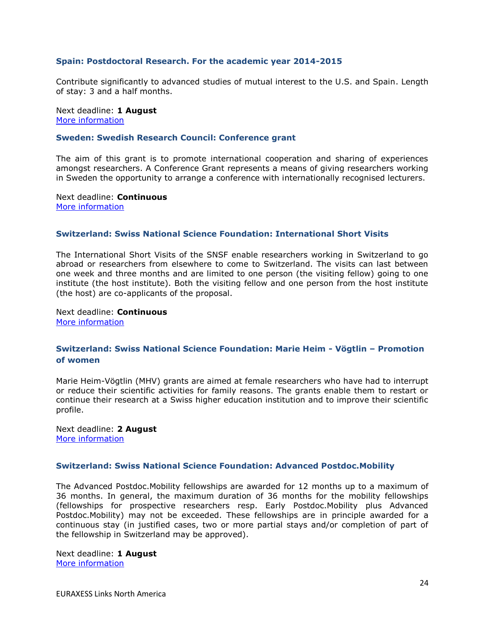#### <span id="page-23-0"></span>**Spain: Postdoctoral Research. For the academic year 2014-2015**

Contribute significantly to advanced studies of mutual interest to the U.S. and Spain. Length of stay: 3 and a half months.

Next deadline: **1 August** [More information](http://www.fulbright.es/convocatorias/ver/1392/postdoctoral-research/2014-2015)

#### <span id="page-23-1"></span>**Sweden: Swedish Research Council: Conference grant**

The aim of this grant is to promote international cooperation and sharing of experiences amongst researchers. A Conference Grant represents a means of giving researchers working in Sweden the opportunity to arrange a conference with internationally recognised lecturers.

Next deadline: **Continuous** [More information](http://www.vr.se/inenglish/researchfunding/applyforgrants/callforproposals/opengrants/conferencegrant.5.7257118313b2995b0f21ccd.html)

#### <span id="page-23-2"></span>**Switzerland: Swiss National Science Foundation: International Short Visits**

The International Short Visits of the SNSF enable researchers working in Switzerland to go abroad or researchers from elsewhere to come to Switzerland. The visits can last between one week and three months and are limited to one person (the visiting fellow) going to one institute (the host institute). Both the visiting fellow and one person from the host institute (the host) are co-applicants of the proposal.

Next deadline: **Continuous** [More information](http://www.snf.ch/E/international/worldwide/international-short-visits/Pages/default.aspx)

#### <span id="page-23-3"></span>**Switzerland: Swiss National Science Foundation: Marie Heim - Vögtlin – Promotion of women**

Marie Heim-Vögtlin (MHV) grants are aimed at female researchers who have had to interrupt or reduce their scientific activities for family reasons. The grants enable them to restart or continue their research at a Swiss higher education institution and to improve their scientific profile.

Next deadline: **2 August** [More information](http://www.snf.ch/E/funding/individuals/marie-heim-voegtlin-programme/Pages/default.aspx)

#### <span id="page-23-4"></span>**Switzerland: Swiss National Science Foundation: Advanced Postdoc.Mobility**

The Advanced Postdoc.Mobility fellowships are awarded for 12 months up to a maximum of 36 months. In general, the maximum duration of 36 months for the mobility fellowships (fellowships for prospective researchers resp. Early Postdoc.Mobility plus Advanced Postdoc.Mobility) may not be exceeded. These fellowships are in principle awarded for a continuous stay (in justified cases, two or more partial stays and/or completion of part of the fellowship in Switzerland may be approved).

Next deadline: **1 August** [More information](http://www.snf.ch/E/funding/individuals/mobility-fellowships/Pages/_xc_advanced_postdoc_mobility_e.aspx)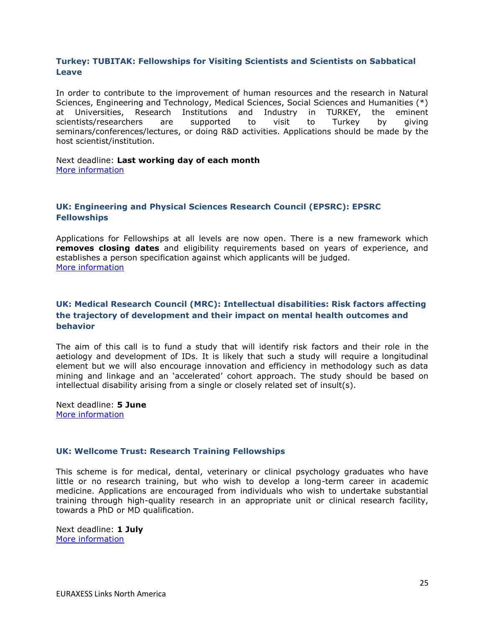# <span id="page-24-0"></span>**Turkey: TUBITAK: Fellowships for Visiting Scientists and Scientists on Sabbatical Leave**

In order to contribute to the improvement of human resources and the research in Natural Sciences, Engineering and Technology, Medical Sciences, Social Sciences and Humanities (\*) at Universities, Research Institutions and Industry in TURKEY, the eminent scientists/researchers are supported to visit to Turkey by giving seminars/conferences/lectures, or doing R&D activities. Applications should be made by the host scientist/institution.

#### Next deadline: **Last working day of each month** [More information](http://www.tubitak.gov.tr/en/scholarship/postdoctoral/international-programmes/content-2221-fellowships-for-visiting-scientists-and-scientists-on-sabbatical-leave)

# <span id="page-24-1"></span>**UK: Engineering and Physical Sciences Research Council (EPSRC): EPSRC Fellowships**

Applications for Fellowships at all levels are now open. There is a new framework which **removes closing dates** and eligibility requirements based on years of experience, and establishes a person specification against which applicants will be judged. [More information](http://www.epsrc.ac.uk/skills/fellows/Pages/fellowships.aspx)

# <span id="page-24-2"></span>**UK: Medical Research Council (MRC): Intellectual disabilities: Risk factors affecting the trajectory of development and their impact on mental health outcomes and behavior**

The aim of this call is to fund a study that will identify risk factors and their role in the aetiology and development of IDs. It is likely that such a study will require a longitudinal element but we will also encourage innovation and efficiency in methodology such as data mining and linkage and an 'accelerated' cohort approach. The study should be based on intellectual disability arising from a single or closely related set of insult(s).

Next deadline: **5 June** [More information](http://www.mrc.ac.uk/Fundingopportunities/Calls/Riskfactorsaffectingthetrajectoryofdevelopment/MRC009088#top)

### <span id="page-24-3"></span>**UK: Wellcome Trust: Research Training Fellowships**

This scheme is for medical, dental, veterinary or clinical psychology graduates who have little or no research training, but who wish to develop a long-term career in academic medicine. Applications are encouraged from individuals who wish to undertake substantial training through high-quality research in an appropriate unit or clinical research facility, towards a PhD or MD qualification.

Next deadline: **1 July** [More information](http://www.wellcome.ac.uk/Funding/Biomedical-science/Funding-schemes/Fellowships/Clinical-fellowships/WTD004435.htm)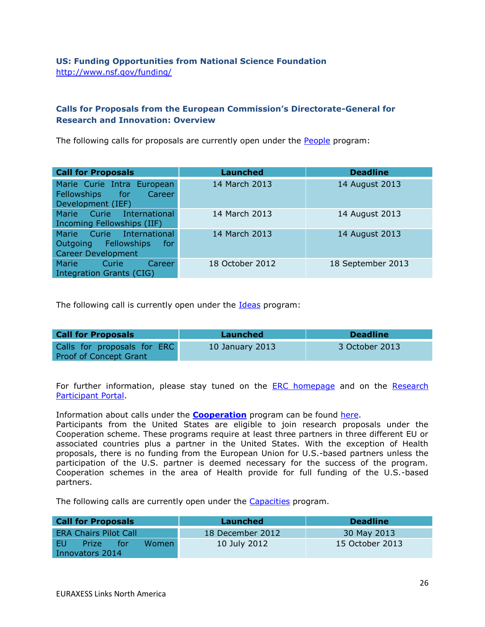# <span id="page-25-0"></span>**US: Funding Opportunities from National Science Foundation** <http://www.nsf.gov/funding/>

# <span id="page-25-1"></span>**Calls for Proposals from the European Commission's Directorate-General for Research and Innovation: Overview**

The following calls for proposals are currently open under the [People](http://ec.europa.eu/research/participants/portal/appmanager/participants/portal?_nfpb=true&_windowLabel=portletInstance_60&portletInstance_60_actionOverride=%2Fportlets%2Fcall%2Ffp7CallMenu%2Fgo2People&_pageLabel=call_FP7#wlp_portletInstance_60) program:

| <b>Call for Proposals</b>                                                             | <b>Launched</b> | <b>Deadline</b>   |
|---------------------------------------------------------------------------------------|-----------------|-------------------|
| Marie Curie Intra European<br>Fellowships for<br>Career<br>Development (IEF)          | 14 March 2013   | 14 August 2013    |
| Marie Curie International<br>Incoming Fellowships (IIF)                               | 14 March 2013   | 14 August 2013    |
| Marie Curie International<br>Outgoing Fellowships<br>for<br><b>Career Development</b> | 14 March 2013   | 14 August 2013    |
| <b>Marie</b><br>Curie<br>Career<br>Integration Grants (CIG)                           | 18 October 2012 | 18 September 2013 |

The following call is currently open under the **Ideas** program:

| <b>Deadline</b><br>Launched |                 |
|-----------------------------|-----------------|
|                             | 3 October 2013  |
|                             | 10 January 2013 |

For further information, please stay tuned on the [ERC homepage](http://erc.europa.eu/) and on the [Research](http://ec.europa.eu/research/participants/portal/page/home)  [Participant Portal.](http://ec.europa.eu/research/participants/portal/page/home)

Information about calls under the **[Cooperation](http://cordis.europa.eu/fp7/cooperation/home_en.html)** program can be found [here.](http://ec.europa.eu/research/participants/portal/page/calls)

Participants from the United States are eligible to join research proposals under the Cooperation scheme. These programs require at least three partners in three different EU or associated countries plus a partner in the United States. With the exception of Health proposals, there is no funding from the European Union for U.S.-based partners unless the participation of the U.S. partner is deemed necessary for the success of the program. Cooperation schemes in the area of Health provide for full funding of the U.S.-based partners.

The following calls are currently open under the [Capacities](http://ec.europa.eu/research/participants/portal/appmanager/participants/portal?_nfpb=true&_windowLabel=portletInstance_60&portletInstance_60_actionOverride=%2Fportlets%2Fcall%2Ffp7CallMenu%2Fgo2Capacities&_pageLabel=call_FP7#wlp_portletInstance_60) program.

| <b>Call for Proposals</b>                           | Launched         | <b>Deadline</b> |
|-----------------------------------------------------|------------------|-----------------|
| <b>ERA Chairs Pilot Call</b>                        | 18 December 2012 | 30 May 2013     |
| - EU-<br><b>Women</b><br><b>Prize</b><br><b>For</b> | 10 July 2012     | 15 October 2013 |
| Innovators 2014                                     |                  |                 |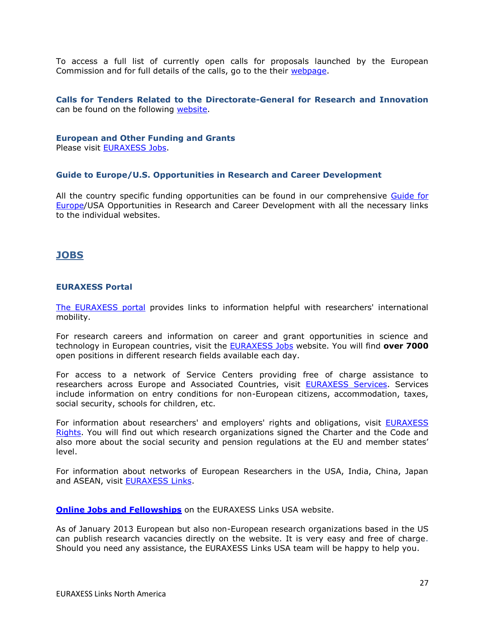To access a full list of currently open calls for proposals launched by the European Commission and for full details of the calls, go to the their [webpage.](http://ec.europa.eu/research/participants/portal/page/calls)

<span id="page-26-0"></span>**Calls for Tenders Related to the Directorate-General for Research and Innovation** can be found on the following [website.](http://ec.europa.eu/research/dgs/tenders/open_en.cfm)

#### **European and Other Funding and Grants**

Please visit [EURAXESS Jobs.](http://ec.europa.eu/euraxess/index.cfm/jobs/index)

#### <span id="page-26-1"></span>**Guide to Europe/U.S. Opportunities in Research and Career Development**

All the country specific funding opportunities can be found in our comprehensive Guide for [Europe/](http://ec.europa.eu/euraxess/links/usa/funding_opportunities_en.htm)USA Opportunities in Research and Career Development with all the necessary links to the individual websites.

## <span id="page-26-2"></span>**JOBS**

#### <span id="page-26-3"></span>**EURAXESS Portal**

[The EURAXESS portal](http://ec.europa.eu/euraxess/index.cfm/general/index) provides links to information helpful with researchers' international mobility.

For research careers and information on career and grant opportunities in science and technology in European countries, visit the [EURAXESS Jobs](http://ec.europa.eu/euraxess/index.cfm/jobs/index) website. You will find **over 7000** open positions in different research fields available each day.

For access to a network of Service Centers providing free of charge assistance to researchers across Europe and Associated Countries, visit [EURAXESS Services.](http://ec.europa.eu/euraxess/index.cfm/services/index) Services include information on entry conditions for non-European citizens, accommodation, taxes, social security, schools for children, etc.

For information about researchers' and employers' rights and obligations, visit [EURAXESS](http://ec.europa.eu/euraxess/index.cfm/rights/index)  [Rights.](http://ec.europa.eu/euraxess/index.cfm/rights/index) You will find out which research organizations signed the Charter and the Code and also more about the social security and pension regulations at the EU and member states' level.

For information about networks of European Researchers in the USA, India, China, Japan and ASEAN, visit [EURAXESS Links.](http://ec.europa.eu/euraxess/links/index_en.htm?CFID=11359184&CFTOKEN=f091c6e9d611fc5e-36385075-A3C1-573C-6964EDADAAF522B5&jsessionid=b102931478fb2f85c1d845717b67451a124eTR)

**[Online Jobs and Fellowships](http://ec.europa.eu/euraxess/links/usa/index_en.htm)** on the EURAXESS Links USA website.

As of January 2013 European but also non-European research organizations based in the US can publish research vacancies directly on the website. It is very easy and free of charge. Should you need any assistance, the EURAXESS Links USA team will be happy to help you.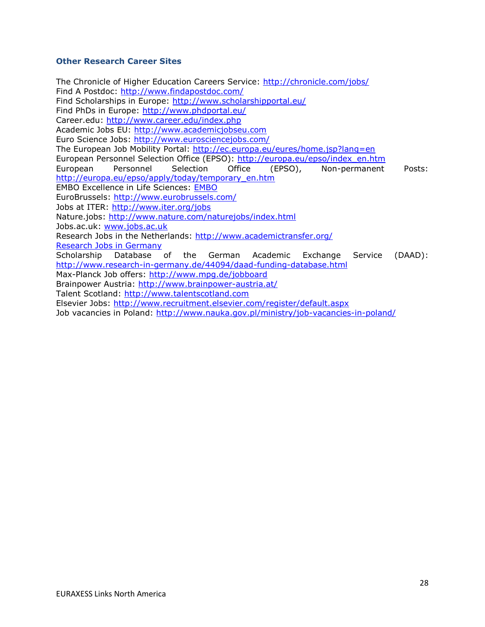### <span id="page-27-0"></span>**Other Research Career Sites**

The Chronicle of Higher Education Careers Service:<http://chronicle.com/jobs/> Find A Postdoc: http://www.findapostdoc.com/ Find Scholarships in Europe:<http://www.scholarshipportal.eu/> Find PhDs in Europe:<http://www.phdportal.eu/> Career.edu:<http://www.career.edu/index.php> Academic Jobs EU: http://www.academicjobseu.com Euro Science Jobs:<http://www.eurosciencejobs.com/> The European Job Mobility Portal:<http://ec.europa.eu/eures/home.jsp?lang=en> European Personnel Selection Office (EPSO): http://europa.eu/epso/index\_en.htm European Personnel Selection Office (EPSO), Non-permanent Posts: [http://europa.eu/epso/apply/today/temporary\\_en.htm](http://europa.eu/epso/apply/today/temporary_en.htm)  EMBO Excellence in Life Sciences: [EMBO](http://www.embo.org/) EuroBrussels:<http://www.eurobrussels.com/> Jobs at ITER: http://www.iter.org/jobs Nature.jobs: http://www.nature.com/naturejobs/index.html Jobs.ac.uk: www.jobs.ac.uk Research Jobs in the Netherlands:<http://www.academictransfer.org/> [Research Jobs in Germany](http://www.research-in-germany.de/research-career-in-germany/jobs/29640/academics-com-i-frame.html) Scholarship Database of the German Academic Exchange Service (DAAD): <http://www.research-in-germany.de/44094/daad-funding-database.html> Max-Planck Job offers:<http://www.mpg.de/jobboard> Brainpower Austria: http://www.brainpower-austria.at/ Talent Scotland: [http://www.talentscotland.com](http://www.talentscotland.com/)  Elsevier Jobs:<http://www.recruitment.elsevier.com/register/default.aspx> Job vacancies in Poland:<http://www.nauka.gov.pl/ministry/job-vacancies-in-poland/>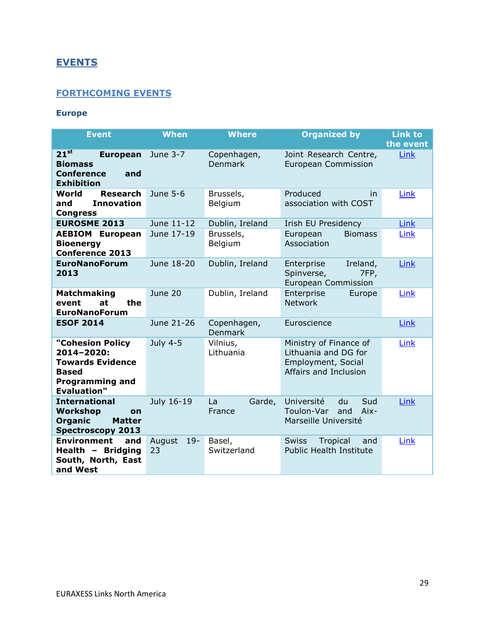# <span id="page-28-0"></span>**EVENTS**

# <span id="page-28-1"></span>**FORTHCOMING EVENTS**

# <span id="page-28-2"></span>**Europe**

| <b>Event</b>                                                                                                              | <b>When</b>           | <b>Where</b>                  | <b>Organized by</b>                                                                           | <b>Link to</b><br>the event |
|---------------------------------------------------------------------------------------------------------------------------|-----------------------|-------------------------------|-----------------------------------------------------------------------------------------------|-----------------------------|
| $21^{st}$<br><b>European</b><br><b>Biomass</b><br><b>Conference</b><br>and<br><b>Exhibition</b>                           | June 3-7              | Copenhagen,<br><b>Denmark</b> | Joint Research Centre,<br><b>European Commission</b>                                          | Link                        |
| <b>Research</b><br>World<br><b>Innovation</b><br>and<br><b>Congress</b>                                                   | June 5-6              | Brussels,<br>Belgium          | Produced<br>in<br>association with COST                                                       | Link                        |
| <b>EUROSME 2013</b>                                                                                                       | June 11-12            | Dublin, Ireland               | Irish EU Presidency                                                                           | Link                        |
| <b>AEBIOM European</b><br><b>Bioenergy</b><br><b>Conference 2013</b>                                                      | June 17-19            | Brussels,<br>Belgium          | <b>Biomass</b><br>European<br>Association                                                     | Link                        |
| <b>EuroNanoForum</b><br>2013                                                                                              | June 18-20            | Dublin, Ireland               | Enterprise<br>Ireland,<br>Spinverse,<br>7FP,<br><b>European Commission</b>                    | Link                        |
| <b>Matchmaking</b><br>the<br>at<br>event<br><b>EuroNanoForum</b>                                                          | June 20               | Dublin, Ireland               | Enterprise<br>Europe<br><b>Network</b>                                                        | Link                        |
| <b>ESOF 2014</b>                                                                                                          | June 21-26            | Copenhagen,<br><b>Denmark</b> | Euroscience                                                                                   | Link                        |
| "Cohesion Policy<br>2014-2020:<br><b>Towards Evidence</b><br><b>Based</b><br><b>Programming and</b><br><b>Evaluation"</b> | July 4-5              | Vilnius,<br>Lithuania         | Ministry of Finance of<br>Lithuania and DG for<br>Employment, Social<br>Affairs and Inclusion | Link                        |
| <b>International</b><br><b>Workshop</b><br><b>on</b><br><b>Organic</b><br><b>Matter</b><br><b>Spectroscopy 2013</b>       | July 16-19            | Garde,<br>La<br>France        | Université<br>Sud<br>du<br>Toulon-Var<br>Aix-<br>and<br>Marseille Université                  | Link                        |
| <b>Environment</b><br>and<br>Health - Bridging<br>South, North, East<br>and West                                          | August<br>$19-$<br>23 | Basel,<br>Switzerland         | <b>Swiss</b><br>Tropical<br>and<br><b>Public Health Institute</b>                             | Link                        |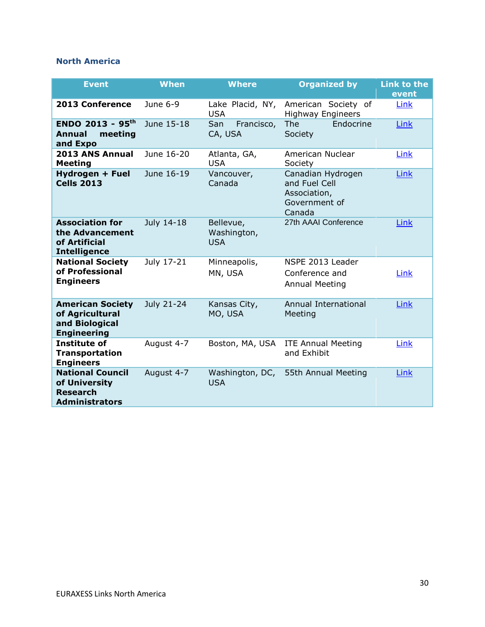# <span id="page-29-0"></span>**North America**

| <b>Event</b>                                                                         | <b>When</b> | <b>Where</b>                           | <b>Organized by</b>                                                           | <b>Link to the</b><br>event |
|--------------------------------------------------------------------------------------|-------------|----------------------------------------|-------------------------------------------------------------------------------|-----------------------------|
| 2013 Conference                                                                      | June $6-9$  | Lake Placid, NY,<br><b>USA</b>         | American Society of<br><b>Highway Engineers</b>                               | Link                        |
| <b>ENDO 2013 - 95th</b><br><b>Annual</b><br>meeting<br>and Expo                      | June 15-18  | San<br>Francisco,<br>CA, USA           | The<br>Endocrine<br>Society                                                   | Link                        |
| 2013 ANS Annual<br><b>Meeting</b>                                                    | June 16-20  | Atlanta, GA,<br><b>USA</b>             | American Nuclear<br>Society                                                   | Link                        |
| Hydrogen + Fuel<br><b>Cells 2013</b>                                                 | June 16-19  | Vancouver,<br>Canada                   | Canadian Hydrogen<br>and Fuel Cell<br>Association,<br>Government of<br>Canada | Link                        |
| <b>Association for</b><br>the Advancement<br>of Artificial<br><b>Intelligence</b>    | July 14-18  | Bellevue,<br>Washington,<br><b>USA</b> | 27th AAAI Conference                                                          | Link                        |
| <b>National Society</b><br>of Professional<br><b>Engineers</b>                       | July 17-21  | Minneapolis,<br>MN, USA                | NSPE 2013 Leader<br>Conference and<br><b>Annual Meeting</b>                   | Link                        |
| <b>American Society</b><br>of Agricultural<br>and Biological<br><b>Engineering</b>   | July 21-24  | Kansas City,<br>MO, USA                | Annual International<br>Meeting                                               | Link                        |
| <b>Institute of</b><br><b>Transportation</b><br><b>Engineers</b>                     | August 4-7  | Boston, MA, USA                        | <b>ITE Annual Meeting</b><br>and Exhibit                                      | Link                        |
| <b>National Council</b><br>of University<br><b>Research</b><br><b>Administrators</b> | August 4-7  | Washington, DC,<br><b>USA</b>          | 55th Annual Meeting                                                           | Link                        |